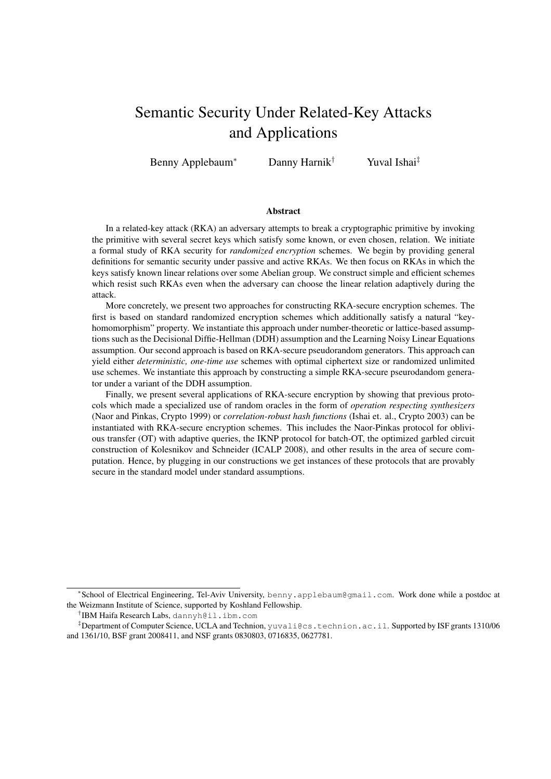# Semantic Security Under Related-Key Attacks and Applications

Benny Applebaum<sup>∗</sup> Danny Harnik† Yuval Ishai‡

#### **Abstract**

In a related-key attack (RKA) an adversary attempts to break a cryptographic primitive by invoking the primitive with several secret keys which satisfy some known, or even chosen, relation. We initiate a formal study of RKA security for *randomized encryption* schemes. We begin by providing general definitions for semantic security under passive and active RKAs. We then focus on RKAs in which the keys satisfy known linear relations over some Abelian group. We construct simple and efficient schemes which resist such RKAs even when the adversary can choose the linear relation adaptively during the attack.

More concretely, we present two approaches for constructing RKA-secure encryption schemes. The first is based on standard randomized encryption schemes which additionally satisfy a natural "keyhomomorphism" property. We instantiate this approach under number-theoretic or lattice-based assumptions such as the Decisional Diffie-Hellman (DDH) assumption and the Learning Noisy Linear Equations assumption. Our second approach is based on RKA-secure pseudorandom generators. This approach can yield either *deterministic, one-time use* schemes with optimal ciphertext size or randomized unlimited use schemes. We instantiate this approach by constructing a simple RKA-secure pseurodandom generator under a variant of the DDH assumption.

Finally, we present several applications of RKA-secure encryption by showing that previous protocols which made a specialized use of random oracles in the form of *operation respecting synthesizers* (Naor and Pinkas, Crypto 1999) or *correlation-robust hash functions* (Ishai et. al., Crypto 2003) can be instantiated with RKA-secure encryption schemes. This includes the Naor-Pinkas protocol for oblivious transfer (OT) with adaptive queries, the IKNP protocol for batch-OT, the optimized garbled circuit construction of Kolesnikov and Schneider (ICALP 2008), and other results in the area of secure computation. Hence, by plugging in our constructions we get instances of these protocols that are provably secure in the standard model under standard assumptions.

† IBM Haifa Research Labs, dannyh@il.ibm.com

<sup>∗</sup> School of Electrical Engineering, Tel-Aviv University, benny.applebaum@gmail.com. Work done while a postdoc at the Weizmann Institute of Science, supported by Koshland Fellowship.

 $\frac{1}{4}$ Department of Computer Science, UCLA and Technion, yuvali@cs.technion.ac.il. Supported by ISF grants 1310/06 and 1361/10, BSF grant 2008411, and NSF grants 0830803, 0716835, 0627781.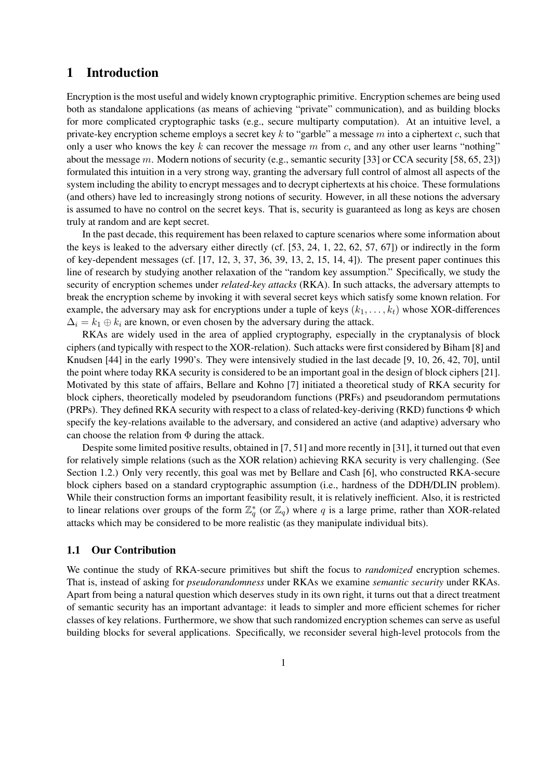## 1 Introduction

Encryption is the most useful and widely known cryptographic primitive. Encryption schemes are being used both as standalone applications (as means of achieving "private" communication), and as building blocks for more complicated cryptographic tasks (e.g., secure multiparty computation). At an intuitive level, a private-key encryption scheme employs a secret key k to "garble" a message m into a ciphertext c, such that only a user who knows the key k can recover the message  $m$  from  $c$ , and any other user learns "nothing" about the message m. Modern notions of security (e.g., semantic security [33] or CCA security [58, 65, 23]) formulated this intuition in a very strong way, granting the adversary full control of almost all aspects of the system including the ability to encrypt messages and to decrypt ciphertexts at his choice. These formulations (and others) have led to increasingly strong notions of security. However, in all these notions the adversary is assumed to have no control on the secret keys. That is, security is guaranteed as long as keys are chosen truly at random and are kept secret.

In the past decade, this requirement has been relaxed to capture scenarios where some information about the keys is leaked to the adversary either directly (cf. [53, 24, 1, 22, 62, 57, 67]) or indirectly in the form of key-dependent messages (cf.  $[17, 12, 3, 37, 36, 39, 13, 2, 15, 14, 4]$ ). The present paper continues this line of research by studying another relaxation of the "random key assumption." Specifically, we study the security of encryption schemes under *related-key attacks* (RKA). In such attacks, the adversary attempts to break the encryption scheme by invoking it with several secret keys which satisfy some known relation. For example, the adversary may ask for encryptions under a tuple of keys  $(k_1, \ldots, k_t)$  whose XOR-differences  $\Delta_i = k_1 \oplus k_i$  are known, or even chosen by the adversary during the attack.

RKAs are widely used in the area of applied cryptography, especially in the cryptanalysis of block ciphers (and typically with respect to the XOR-relation). Such attacks were first considered by Biham [8] and Knudsen [44] in the early 1990's. They were intensively studied in the last decade [9, 10, 26, 42, 70], until the point where today RKA security is considered to be an important goal in the design of block ciphers [21]. Motivated by this state of affairs, Bellare and Kohno [7] initiated a theoretical study of RKA security for block ciphers, theoretically modeled by pseudorandom functions (PRFs) and pseudorandom permutations (PRPs). They defined RKA security with respect to a class of related-key-deriving (RKD) functions  $\Phi$  which specify the key-relations available to the adversary, and considered an active (and adaptive) adversary who can choose the relation from  $\Phi$  during the attack.

Despite some limited positive results, obtained in [7, 51] and more recently in [31], it turned out that even for relatively simple relations (such as the XOR relation) achieving RKA security is very challenging. (See Section 1.2.) Only very recently, this goal was met by Bellare and Cash [6], who constructed RKA-secure block ciphers based on a standard cryptographic assumption (i.e., hardness of the DDH/DLIN problem). While their construction forms an important feasibility result, it is relatively inefficient. Also, it is restricted to linear relations over groups of the form  $\mathbb{Z}_q^*$  (or  $\mathbb{Z}_q$ ) where q is a large prime, rather than XOR-related attacks which may be considered to be more realistic (as they manipulate individual bits).

#### 1.1 Our Contribution

We continue the study of RKA-secure primitives but shift the focus to *randomized* encryption schemes. That is, instead of asking for *pseudorandomness* under RKAs we examine *semantic security* under RKAs. Apart from being a natural question which deserves study in its own right, it turns out that a direct treatment of semantic security has an important advantage: it leads to simpler and more efficient schemes for richer classes of key relations. Furthermore, we show that such randomized encryption schemes can serve as useful building blocks for several applications. Specifically, we reconsider several high-level protocols from the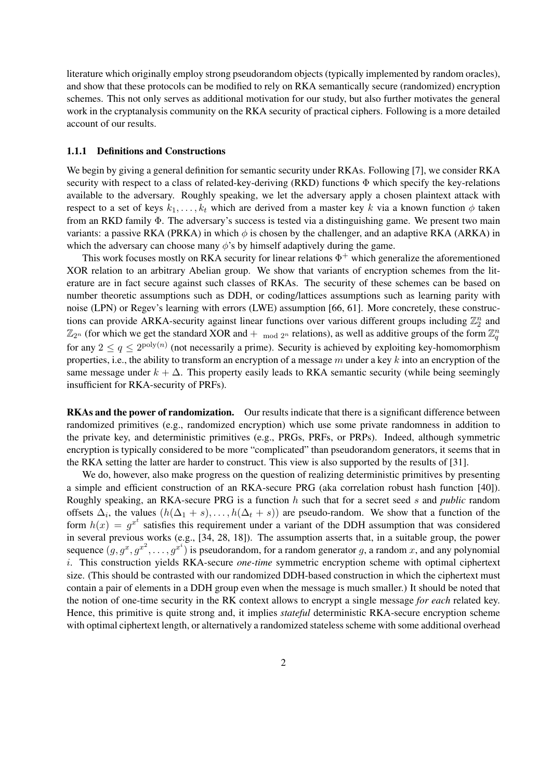literature which originally employ strong pseudorandom objects (typically implemented by random oracles), and show that these protocols can be modified to rely on RKA semantically secure (randomized) encryption schemes. This not only serves as additional motivation for our study, but also further motivates the general work in the cryptanalysis community on the RKA security of practical ciphers. Following is a more detailed account of our results.

#### 1.1.1 Definitions and Constructions

We begin by giving a general definition for semantic security under RKAs. Following [7], we consider RKA security with respect to a class of related-key-deriving (RKD) functions  $\Phi$  which specify the key-relations available to the adversary. Roughly speaking, we let the adversary apply a chosen plaintext attack with respect to a set of keys  $k_1, \ldots, k_t$  which are derived from a master key k via a known function  $\phi$  taken from an RKD family Φ. The adversary's success is tested via a distinguishing game. We present two main variants: a passive RKA (PRKA) in which  $\phi$  is chosen by the challenger, and an adaptive RKA (ARKA) in which the adversary can choose many  $\phi$ 's by himself adaptively during the game.

This work focuses mostly on RKA security for linear relations  $\Phi^+$  which generalize the aforementioned XOR relation to an arbitrary Abelian group. We show that variants of encryption schemes from the literature are in fact secure against such classes of RKAs. The security of these schemes can be based on number theoretic assumptions such as DDH, or coding/lattices assumptions such as learning parity with noise (LPN) or Regev's learning with errors (LWE) assumption [66, 61]. More concretely, these constructions can provide ARKA-security against linear functions over various different groups including  $\mathbb{Z}_2^n$  and  $\mathbb{Z}_{2^n}$  (for which we get the standard XOR and  $+$  <sub>mod 2n</sub> relations), as well as additive groups of the form  $\mathbb{Z}_q^n$ for any  $2 \le q \le 2^{\text{poly}(n)}$  (not necessarily a prime). Security is achieved by exploiting key-homomorphism properties, i.e., the ability to transform an encryption of a message  $m$  under a key  $k$  into an encryption of the same message under  $k + \Delta$ . This property easily leads to RKA semantic security (while being seemingly insufficient for RKA-security of PRFs).

RKAs and the power of randomization. Our results indicate that there is a significant difference between randomized primitives (e.g., randomized encryption) which use some private randomness in addition to the private key, and deterministic primitives (e.g., PRGs, PRFs, or PRPs). Indeed, although symmetric encryption is typically considered to be more "complicated" than pseudorandom generators, it seems that in the RKA setting the latter are harder to construct. This view is also supported by the results of [31].

We do, however, also make progress on the question of realizing deterministic primitives by presenting a simple and efficient construction of an RKA-secure PRG (aka correlation robust hash function [40]). Roughly speaking, an RKA-secure PRG is a function h such that for a secret seed s and *public* random offsets  $\Delta_i$ , the values  $(h(\Delta_1 + s), \ldots, h(\Delta_t + s))$  are pseudo-random. We show that a function of the form  $h(x) = g^{x^t}$  satisfies this requirement under a variant of the DDH assumption that was considered in several previous works (e.g., [34, 28, 18]). The assumption asserts that, in a suitable group, the power sequence  $(g, g^x, g^{x^2}, \ldots, g^{x^i})$  is pseudorandom, for a random generator g, a random x, and any polynomial i. This construction yields RKA-secure *one-time* symmetric encryption scheme with optimal ciphertext size. (This should be contrasted with our randomized DDH-based construction in which the ciphertext must contain a pair of elements in a DDH group even when the message is much smaller.) It should be noted that the notion of one-time security in the RK context allows to encrypt a single message *for each* related key. Hence, this primitive is quite strong and, it implies *stateful* deterministic RKA-secure encryption scheme with optimal ciphertext length, or alternatively a randomized stateless scheme with some additional overhead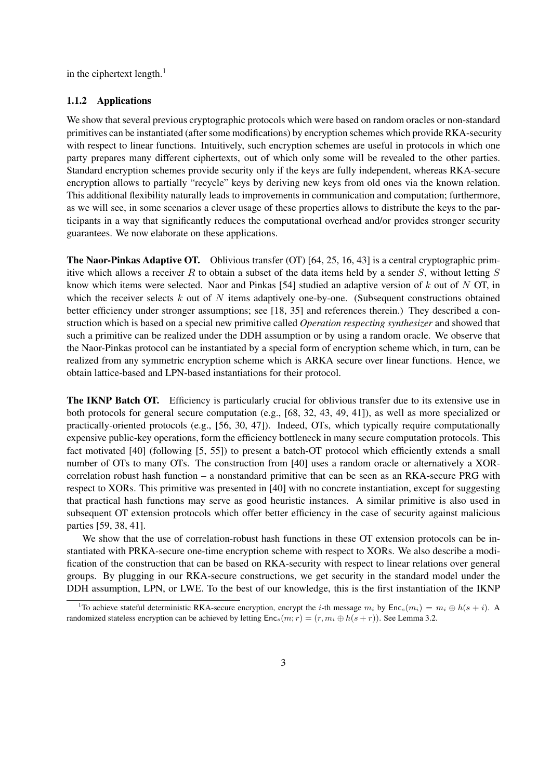in the ciphertext length. $<sup>1</sup>$ </sup>

#### 1.1.2 Applications

We show that several previous cryptographic protocols which were based on random oracles or non-standard primitives can be instantiated (after some modifications) by encryption schemes which provide RKA-security with respect to linear functions. Intuitively, such encryption schemes are useful in protocols in which one party prepares many different ciphertexts, out of which only some will be revealed to the other parties. Standard encryption schemes provide security only if the keys are fully independent, whereas RKA-secure encryption allows to partially "recycle" keys by deriving new keys from old ones via the known relation. This additional flexibility naturally leads to improvements in communication and computation; furthermore, as we will see, in some scenarios a clever usage of these properties allows to distribute the keys to the participants in a way that significantly reduces the computational overhead and/or provides stronger security guarantees. We now elaborate on these applications.

The Naor-Pinkas Adaptive OT. Oblivious transfer (OT) [64, 25, 16, 43] is a central cryptographic primitive which allows a receiver R to obtain a subset of the data items held by a sender S, without letting  $S$ know which items were selected. Naor and Pinkas  $[54]$  studied an adaptive version of k out of N OT, in which the receiver selects  $k$  out of  $N$  items adaptively one-by-one. (Subsequent constructions obtained better efficiency under stronger assumptions; see [18, 35] and references therein.) They described a construction which is based on a special new primitive called *Operation respecting synthesizer* and showed that such a primitive can be realized under the DDH assumption or by using a random oracle. We observe that the Naor-Pinkas protocol can be instantiated by a special form of encryption scheme which, in turn, can be realized from any symmetric encryption scheme which is ARKA secure over linear functions. Hence, we obtain lattice-based and LPN-based instantiations for their protocol.

The IKNP Batch OT. Efficiency is particularly crucial for oblivious transfer due to its extensive use in both protocols for general secure computation (e.g., [68, 32, 43, 49, 41]), as well as more specialized or practically-oriented protocols (e.g., [56, 30, 47]). Indeed, OTs, which typically require computationally expensive public-key operations, form the efficiency bottleneck in many secure computation protocols. This fact motivated [40] (following [5, 55]) to present a batch-OT protocol which efficiently extends a small number of OTs to many OTs. The construction from [40] uses a random oracle or alternatively a XORcorrelation robust hash function – a nonstandard primitive that can be seen as an RKA-secure PRG with respect to XORs. This primitive was presented in [40] with no concrete instantiation, except for suggesting that practical hash functions may serve as good heuristic instances. A similar primitive is also used in subsequent OT extension protocols which offer better efficiency in the case of security against malicious parties [59, 38, 41].

We show that the use of correlation-robust hash functions in these OT extension protocols can be instantiated with PRKA-secure one-time encryption scheme with respect to XORs. We also describe a modification of the construction that can be based on RKA-security with respect to linear relations over general groups. By plugging in our RKA-secure constructions, we get security in the standard model under the DDH assumption, LPN, or LWE. To the best of our knowledge, this is the first instantiation of the IKNP

<sup>&</sup>lt;sup>1</sup>To achieve stateful deterministic RKA-secure encryption, encrypt the *i*-th message  $m_i$  by  $Enc_s(m_i) = m_i \oplus h(s + i)$ . A randomized stateless encryption can be achieved by letting  $Enc_s(m; r) = (r, m_i \oplus h(s + r))$ . See Lemma 3.2.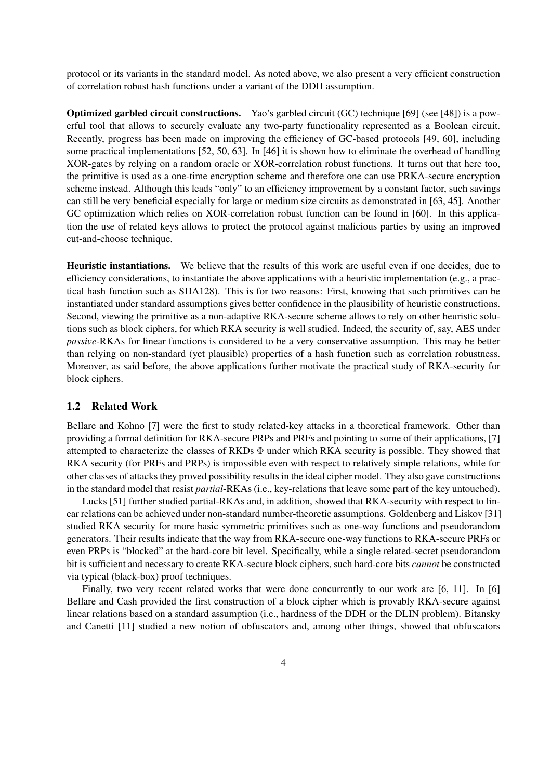protocol or its variants in the standard model. As noted above, we also present a very efficient construction of correlation robust hash functions under a variant of the DDH assumption.

Optimized garbled circuit constructions. Yao's garbled circuit (GC) technique [69] (see [48]) is a powerful tool that allows to securely evaluate any two-party functionality represented as a Boolean circuit. Recently, progress has been made on improving the efficiency of GC-based protocols [49, 60], including some practical implementations [52, 50, 63]. In [46] it is shown how to eliminate the overhead of handling XOR-gates by relying on a random oracle or XOR-correlation robust functions. It turns out that here too, the primitive is used as a one-time encryption scheme and therefore one can use PRKA-secure encryption scheme instead. Although this leads "only" to an efficiency improvement by a constant factor, such savings can still be very beneficial especially for large or medium size circuits as demonstrated in [63, 45]. Another GC optimization which relies on XOR-correlation robust function can be found in [60]. In this application the use of related keys allows to protect the protocol against malicious parties by using an improved cut-and-choose technique.

Heuristic instantiations. We believe that the results of this work are useful even if one decides, due to efficiency considerations, to instantiate the above applications with a heuristic implementation (e.g., a practical hash function such as SHA128). This is for two reasons: First, knowing that such primitives can be instantiated under standard assumptions gives better confidence in the plausibility of heuristic constructions. Second, viewing the primitive as a non-adaptive RKA-secure scheme allows to rely on other heuristic solutions such as block ciphers, for which RKA security is well studied. Indeed, the security of, say, AES under *passive*-RKAs for linear functions is considered to be a very conservative assumption. This may be better than relying on non-standard (yet plausible) properties of a hash function such as correlation robustness. Moreover, as said before, the above applications further motivate the practical study of RKA-security for block ciphers.

#### 1.2 Related Work

Bellare and Kohno [7] were the first to study related-key attacks in a theoretical framework. Other than providing a formal definition for RKA-secure PRPs and PRFs and pointing to some of their applications, [7] attempted to characterize the classes of RKDs  $\Phi$  under which RKA security is possible. They showed that RKA security (for PRFs and PRPs) is impossible even with respect to relatively simple relations, while for other classes of attacks they proved possibility results in the ideal cipher model. They also gave constructions in the standard model that resist *partial*-RKAs (i.e., key-relations that leave some part of the key untouched).

Lucks [51] further studied partial-RKAs and, in addition, showed that RKA-security with respect to linear relations can be achieved under non-standard number-theoretic assumptions. Goldenberg and Liskov [31] studied RKA security for more basic symmetric primitives such as one-way functions and pseudorandom generators. Their results indicate that the way from RKA-secure one-way functions to RKA-secure PRFs or even PRPs is "blocked" at the hard-core bit level. Specifically, while a single related-secret pseudorandom bit is sufficient and necessary to create RKA-secure block ciphers, such hard-core bits *cannot* be constructed via typical (black-box) proof techniques.

Finally, two very recent related works that were done concurrently to our work are [6, 11]. In [6] Bellare and Cash provided the first construction of a block cipher which is provably RKA-secure against linear relations based on a standard assumption (i.e., hardness of the DDH or the DLIN problem). Bitansky and Canetti [11] studied a new notion of obfuscators and, among other things, showed that obfuscators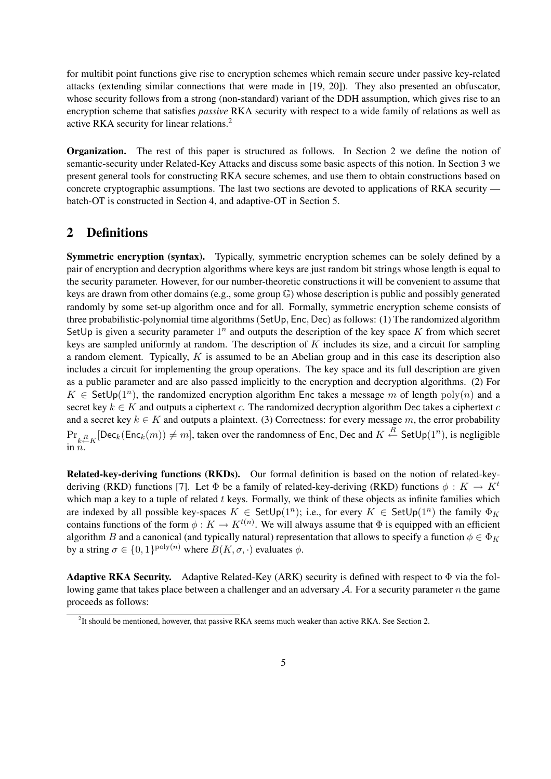for multibit point functions give rise to encryption schemes which remain secure under passive key-related attacks (extending similar connections that were made in [19, 20]). They also presented an obfuscator, whose security follows from a strong (non-standard) variant of the DDH assumption, which gives rise to an encryption scheme that satisfies *passive* RKA security with respect to a wide family of relations as well as active RKA security for linear relations.<sup>2</sup>

Organization. The rest of this paper is structured as follows. In Section 2 we define the notion of semantic-security under Related-Key Attacks and discuss some basic aspects of this notion. In Section 3 we present general tools for constructing RKA secure schemes, and use them to obtain constructions based on concrete cryptographic assumptions. The last two sections are devoted to applications of RKA security batch-OT is constructed in Section 4, and adaptive-OT in Section 5.

# 2 Definitions

Symmetric encryption (syntax). Typically, symmetric encryption schemes can be solely defined by a pair of encryption and decryption algorithms where keys are just random bit strings whose length is equal to the security parameter. However, for our number-theoretic constructions it will be convenient to assume that keys are drawn from other domains (e.g., some group G) whose description is public and possibly generated randomly by some set-up algorithm once and for all. Formally, symmetric encryption scheme consists of three probabilistic-polynomial time algorithms (SetUp, Enc, Dec) as follows: (1) The randomized algorithm SetUp is given a security parameter  $1^n$  and outputs the description of the key space K from which secret keys are sampled uniformly at random. The description of  $K$  includes its size, and a circuit for sampling a random element. Typically, K is assumed to be an Abelian group and in this case its description also includes a circuit for implementing the group operations. The key space and its full description are given as a public parameter and are also passed implicitly to the encryption and decryption algorithms. (2) For  $K \in \mathsf{SetUp}(1^n)$ , the randomized encryption algorithm Enc takes a message m of length  $poly(n)$  and a secret key  $k \in K$  and outputs a ciphertext c. The randomized decryption algorithm Dec takes a ciphertext c and a secret key  $k \in K$  and outputs a plaintext. (3) Correctness: for every message m, the error probability  $Pr_{k \in K}[\textsf{Dec}_k(\textsf{Enc}_k(m)) \neq m]$ , taken over the randomness of Enc, Dec and  $K \stackrel{R}{\leftarrow} \textsf{SetUp}(1^n)$ , is negligible in  $\tilde{n}$ .

Related-key-deriving functions (RKDs). Our formal definition is based on the notion of related-keyderiving (RKD) functions [7]. Let  $\Phi$  be a family of related-key-deriving (RKD) functions  $\phi: K \to K^t$ which map a key to a tuple of related  $t$  keys. Formally, we think of these objects as infinite families which are indexed by all possible key-spaces  $K \in \mathsf{SetUp}(1^n)$ ; i.e., for every  $K \in \mathsf{SetUp}(1^n)$  the family  $\Phi_K$ contains functions of the form  $\phi: K \to K^{t(n)}$ . We will always assume that  $\Phi$  is equipped with an efficient algorithm B and a canonical (and typically natural) representation that allows to specify a function  $\phi \in \Phi_K$ by a string  $\sigma \in \{0,1\}^{\text{poly}(n)}$  where  $B(K,\sigma,\cdot)$  evaluates  $\phi$ .

**Adaptive RKA Security.** Adaptive Related-Key (ARK) security is defined with respect to  $\Phi$  via the following game that takes place between a challenger and an adversary  $A$ . For a security parameter n the game proceeds as follows:

 ${}^{2}$ It should be mentioned, however, that passive RKA seems much weaker than active RKA. See Section 2.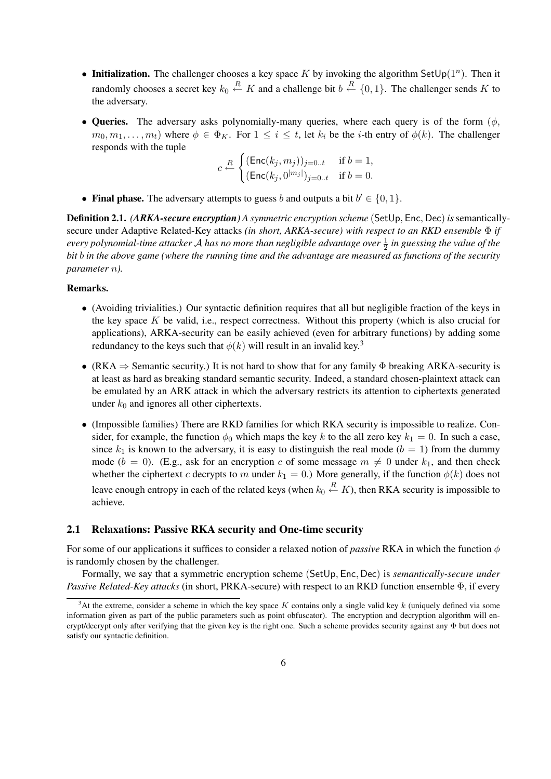- Initialization. The challenger chooses a key space K by invoking the algorithm SetUp( $1^n$ ). Then it randomly chooses a secret key  $k_0 \stackrel{R}{\leftarrow} K$  and a challenge bit  $b \stackrel{R}{\leftarrow} \{0,1\}$ . The challenger sends K to the adversary.
- Queries. The adversary asks polynomially-many queries, where each query is of the form  $(\phi, \phi)$  $m_0, m_1, \ldots, m_t$ ) where  $\phi \in \Phi_K$ . For  $1 \leq i \leq t$ , let  $k_i$  be the *i*-th entry of  $\phi(k)$ . The challenger responds with the tuple  $\overline{a}$

$$
c \stackrel{R}{\leftarrow} \begin{cases} (\mathsf{Enc}(k_j, m_j))_{j=0..t} & \text{if } b = 1, \\ (\mathsf{Enc}(k_j, 0^{|m_j|})_{j=0..t} & \text{if } b = 0. \end{cases}
$$

• Final phase. The adversary attempts to guess b and outputs a bit  $b' \in \{0, 1\}$ .

Definition 2.1. *(ARKA-secure encryption) A symmetric encryption scheme* (SetUp, Enc, Dec)*is*semanticallysecure under Adaptive Related-Key attacks *(in short, ARKA-secure) with respect to an RKD ensemble* Φ *if every polynomial-time attacker* A *has no more than negligible advantage over* <sup>1</sup> 2 *in guessing the value of the bit* b *in the above game (where the running time and the advantage are measured as functions of the security parameter* n*).*

#### Remarks.

- (Avoiding trivialities.) Our syntactic definition requires that all but negligible fraction of the keys in the key space  $K$  be valid, i.e., respect correctness. Without this property (which is also crucial for applications), ARKA-security can be easily achieved (even for arbitrary functions) by adding some redundancy to the keys such that  $\phi(k)$  will result in an invalid key.<sup>3</sup>
- (RKA  $\Rightarrow$  Semantic security.) It is not hard to show that for any family  $\Phi$  breaking ARKA-security is at least as hard as breaking standard semantic security. Indeed, a standard chosen-plaintext attack can be emulated by an ARK attack in which the adversary restricts its attention to ciphertexts generated under  $k_0$  and ignores all other ciphertexts.
- (Impossible families) There are RKD families for which RKA security is impossible to realize. Consider, for example, the function  $\phi_0$  which maps the key k to the all zero key  $k_1 = 0$ . In such a case, since  $k_1$  is known to the adversary, it is easy to distinguish the real mode ( $b = 1$ ) from the dummy mode ( $b = 0$ ). (E.g., ask for an encryption c of some message  $m \neq 0$  under  $k_1$ , and then check whether the ciphertext c decrypts to m under  $k_1 = 0$ .) More generally, if the function  $\phi(k)$  does not leave enough entropy in each of the related keys (when  $k_0 \stackrel{R}{\leftarrow} K$ ), then RKA security is impossible to achieve.

#### 2.1 Relaxations: Passive RKA security and One-time security

For some of our applications it suffices to consider a relaxed notion of *passive* RKA in which the function φ is randomly chosen by the challenger.

Formally, we say that a symmetric encryption scheme (SetUp, Enc, Dec) is *semantically-secure under Passive Related-Key attacks* (in short, PRKA-secure) with respect to an RKD function ensemble Φ, if every

<sup>&</sup>lt;sup>3</sup>At the extreme, consider a scheme in which the key space K contains only a single valid key k (uniquely defined via some information given as part of the public parameters such as point obfuscator). The encryption and decryption algorithm will encrypt/decrypt only after verifying that the given key is the right one. Such a scheme provides security against any Φ but does not satisfy our syntactic definition.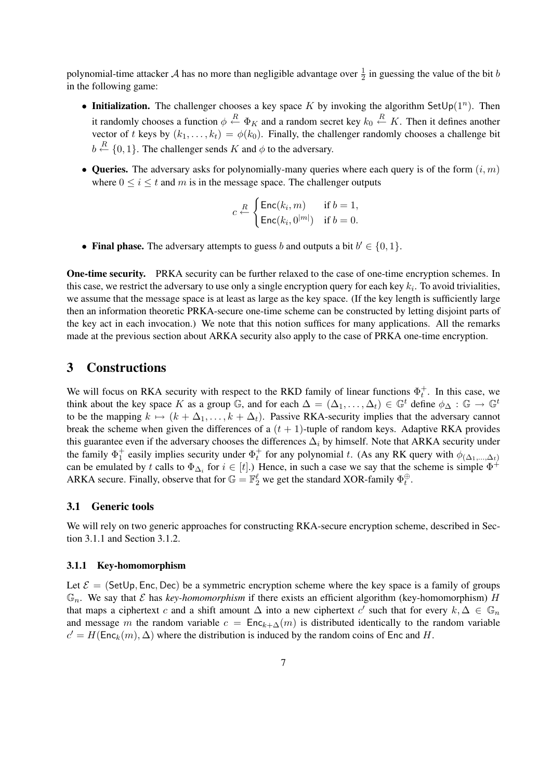polynomial-time attacker A has no more than negligible advantage over  $\frac{1}{2}$  in guessing the value of the bit b in the following game:

- Initialization. The challenger chooses a key space K by invoking the algorithm SetUp( $1^n$ ). Then it randomly chooses a function  $\phi \stackrel{R}{\leftarrow} \Phi_K$  and a random secret key  $k_0 \stackrel{R}{\leftarrow} K$ . Then it defines another vector of t keys by  $(k_1, \ldots, k_t) = \phi(k_0)$ . Finally, the challenger randomly chooses a challenge bit  $b \stackrel{R}{\leftarrow} \{0,1\}$ . The challenger sends K and  $\phi$  to the adversary.
- Queries. The adversary asks for polynomially-many queries where each query is of the form  $(i, m)$ where  $0 \le i \le t$  and m is in the message space. The challenger outputs

$$
c \stackrel{R}{\leftarrow} \begin{cases} \mathsf{Enc}(k_i, m) & \text{if } b = 1, \\ \mathsf{Enc}(k_i, 0^{|m|}) & \text{if } b = 0. \end{cases}
$$

• Final phase. The adversary attempts to guess b and outputs a bit  $b' \in \{0, 1\}$ .

One-time security. PRKA security can be further relaxed to the case of one-time encryption schemes. In this case, we restrict the adversary to use only a single encryption query for each key  $k_i$ . To avoid trivialities, we assume that the message space is at least as large as the key space. (If the key length is sufficiently large then an information theoretic PRKA-secure one-time scheme can be constructed by letting disjoint parts of the key act in each invocation.) We note that this notion suffices for many applications. All the remarks made at the previous section about ARKA security also apply to the case of PRKA one-time encryption.

### 3 Constructions

We will focus on RKA security with respect to the RKD family of linear functions  $\Phi_t^+$ . In this case, we think about the key space K as a group  $\mathbb{G}$ , and for each  $\Delta = (\Delta_1, \ldots, \Delta_t) \in \mathbb{G}^t$  define  $\phi_{\Delta} : \mathbb{G} \to \mathbb{G}^t$ to be the mapping  $k \mapsto (k + \Delta_1, \ldots, k + \Delta_t)$ . Passive RKA-security implies that the adversary cannot break the scheme when given the differences of a  $(t + 1)$ -tuple of random keys. Adaptive RKA provides this guarantee even if the adversary chooses the differences  $\Delta_i$  by himself. Note that ARKA security under the family  $\Phi_1^+$  easily implies security under  $\Phi_t^+$  for any polynomial t. (As any RK query with  $\phi_{(\Delta_1,...,\Delta_t)}$ ) can be emulated by t calls to  $\Phi_{\Delta_i}$  for  $i \in [t]$ .) Hence, in such a case we say that the scheme is simple  $\Phi^+$ ARKA secure. Finally, observe that for  $\mathbb{G} = \mathbb{F}_2^{\ell}$  we get the standard XOR-family  $\Phi_t^{\oplus}$ .

#### 3.1 Generic tools

We will rely on two generic approaches for constructing RKA-secure encryption scheme, described in Section 3.1.1 and Section 3.1.2.

#### 3.1.1 Key-homomorphism

Let  $\mathcal{E} =$  (SetUp, Enc, Dec) be a symmetric encryption scheme where the key space is a family of groups  $\mathbb{G}_n$ . We say that  $\mathcal E$  has *key-homomorphism* if there exists an efficient algorithm (key-homomorphism) H that maps a ciphertext c and a shift amount  $\Delta$  into a new ciphertext c' such that for every  $k, \Delta \in \mathbb{G}_n$ and message m the random variable  $c = \text{Enc}_{k+\Delta}(m)$  is distributed identically to the random variable  $c' = H(\text{Enc}_k(m), \Delta)$  where the distribution is induced by the random coins of Enc and H.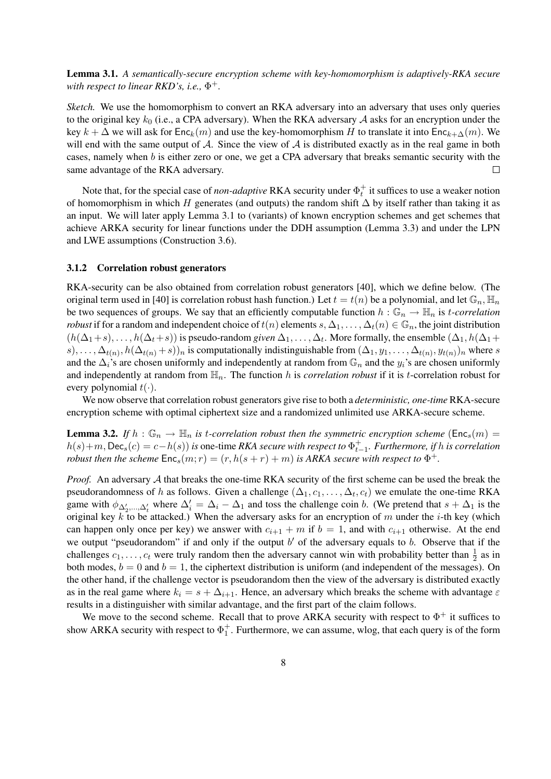Lemma 3.1. *A semantically-secure encryption scheme with key-homomorphism is adaptively-RKA secure with respect to linear RKD's, i.e.,* Φ +*.*

*Sketch.* We use the homomorphism to convert an RKA adversary into an adversary that uses only queries to the original key  $k_0$  (i.e., a CPA adversary). When the RKA adversary  $A$  asks for an encryption under the key  $k + \Delta$  we will ask for  $Enc_k(m)$  and use the key-homomorphism H to translate it into  $Enc_{k+\Delta}(m)$ . We will end with the same output of A. Since the view of A is distributed exactly as in the real game in both cases, namely when b is either zero or one, we get a CPA adversary that breaks semantic security with the same advantage of the RKA adversary.  $\Box$ 

Note that, for the special case of *non-adaptive* RKA security under  $\Phi_t^+$  it suffices to use a weaker notion of homomorphism in which H generates (and outputs) the random shift  $\Delta$  by itself rather than taking it as an input. We will later apply Lemma 3.1 to (variants) of known encryption schemes and get schemes that achieve ARKA security for linear functions under the DDH assumption (Lemma 3.3) and under the LPN and LWE assumptions (Construction 3.6).

#### 3.1.2 Correlation robust generators

RKA-security can be also obtained from correlation robust generators [40], which we define below. (The original term used in [40] is correlation robust hash function.) Let  $t = t(n)$  be a polynomial, and let  $\mathbb{G}_n$ ,  $\mathbb{H}_n$ be two sequences of groups. We say that an efficiently computable function  $h : \mathbb{G}_n \to \mathbb{H}_n$  is *t-correlation robust* if for a random and independent choice of  $t(n)$  elements  $s, \Delta_1, \ldots, \Delta_t(n) \in \mathbb{G}_n$ , the joint distribution  $(h(\Delta_1+s),\ldots,h(\Delta_t+s))$  is pseudo-random *given*  $\Delta_1,\ldots,\Delta_t$ . More formally, the ensemble  $(\Delta_1,h(\Delta_1+s))$  $(s),\ldots,\Delta_{t(n)},h(\Delta_{t(n)}+s))_n$  is computationally indistinguishable from  $(\Delta_1,y_1,\ldots,\Delta_{t(n)},y_{t(n)})_n$  where s and the  $\Delta_i$ 's are chosen uniformly and independently at random from  $\mathbb{G}_n$  and the  $y_i$ 's are chosen uniformly and independently at random from  $\mathbb{H}_n$ . The function h is *correlation robust* if it is t-correlation robust for every polynomial  $t(\cdot)$ .

We now observe that correlation robust generators give rise to both a *deterministic, one-time* RKA-secure encryption scheme with optimal ciphertext size and a randomized unlimited use ARKA-secure scheme.

**Lemma 3.2.** If  $h : \mathbb{G}_n \to \mathbb{H}_n$  is t-correlation robust then the symmetric encryption scheme ( $\mathsf{Enc}_s(m) =$  $h(s) + m$ , Dec<sub>s</sub> $(c) = c - h(s)$  *is* one-time *RKA secure with respect to*  $\Phi_{t-1}^+$ *. Furthermore, if h is correlation robust then the scheme*  $Enc_s(m;r) = (r, h(s+r) + m)$  *is ARKA secure with respect to*  $\Phi^+$ .

*Proof.* An adversary A that breaks the one-time RKA security of the first scheme can be used the break the pseudorandomness of h as follows. Given a challenge  $(\Delta_1, c_1, \dots, \Delta_t, c_t)$  we emulate the one-time RKA game with  $\phi_{\Delta'_2,\dots,\Delta'_t}$  where  $\Delta'_i = \Delta_i - \Delta_1$  and toss the challenge coin b. (We pretend that  $s + \Delta_1$  is the original key k to be attacked.) When the adversary asks for an encryption of m under the *i*-th key (which can happen only once per key) we answer with  $c_{i+1} + m$  if  $b = 1$ , and with  $c_{i+1}$  otherwise. At the end we output "pseudorandom" if and only if the output  $b'$  of the adversary equals to  $b$ . Observe that if the challenges  $c_1, \ldots, c_t$  were truly random then the adversary cannot win with probability better than  $\frac{1}{2}$  as in both modes,  $b = 0$  and  $b = 1$ , the ciphertext distribution is uniform (and independent of the messages). On the other hand, if the challenge vector is pseudorandom then the view of the adversary is distributed exactly as in the real game where  $k_i = s + \Delta_{i+1}$ . Hence, an adversary which breaks the scheme with advantage  $\varepsilon$ results in a distinguisher with similar advantage, and the first part of the claim follows.

We move to the second scheme. Recall that to prove ARKA security with respect to  $\Phi^+$  it suffices to show ARKA security with respect to  $\Phi_1^+$ . Furthermore, we can assume, wlog, that each query is of the form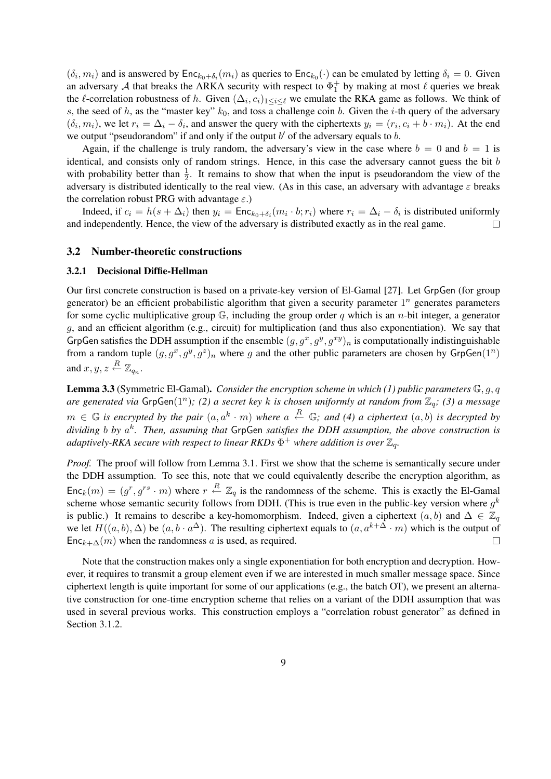$(\delta_i, m_i)$  and is answered by  $Enc_{k_0+\delta_i}(m_i)$  as queries to  $Enc_{k_0}(\cdot)$  can be emulated by letting  $\delta_i = 0$ . Given an adversary A that breaks the ARKA security with respect to  $\Phi_1^+$  by making at most  $\ell$  queries we break the  $\ell$ -correlation robustness of h. Given  $(\Delta_i, c_i)_{1 \leq i \leq \ell}$  we emulate the RKA game as follows. We think of s, the seed of h, as the "master key"  $k_0$ , and toss a challenge coin b. Given the i-th query of the adversary  $(\delta_i, m_i)$ , we let  $r_i = \Delta_i - \delta_i$ , and answer the query with the ciphertexts  $y_i = (r_i, c_i + b \cdot m_i)$ . At the end we output "pseudorandom" if and only if the output  $b'$  of the adversary equals to  $b$ .

Again, if the challenge is truly random, the adversary's view in the case where  $b = 0$  and  $b = 1$  is identical, and consists only of random strings. Hence, in this case the adversary cannot guess the bit b with probability better than  $\frac{1}{2}$ . It remains to show that when the input is pseudorandom the view of the adversary is distributed identically to the real view. (As in this case, an adversary with advantage  $\varepsilon$  breaks the correlation robust PRG with advantage  $\varepsilon$ .)

Indeed, if  $c_i = h(s + \Delta_i)$  then  $y_i = \text{Enc}_{k_0 + \delta_i}(m_i \cdot b; r_i)$  where  $r_i = \Delta_i - \delta_i$  is distributed uniformly and independently. Hence, the view of the adversary is distributed exactly as in the real game.  $\Box$ 

#### 3.2 Number-theoretic constructions

#### 3.2.1 Decisional Diffie-Hellman

Our first concrete construction is based on a private-key version of El-Gamal [27]. Let GrpGen (for group generator) be an efficient probabilistic algorithm that given a security parameter  $1^n$  generates parameters for some cyclic multiplicative group  $\mathbb{G}$ , including the group order q which is an n-bit integer, a generator g, and an efficient algorithm (e.g., circuit) for multiplication (and thus also exponentiation). We say that GrpGen satisfies the DDH assumption if the ensemble  $(g, g^x, g^y, g^{xy})_n$  is computationally indistinguishable from a random tuple  $(g, g^x, g^y, g^z)_n$  where g and the other public parameters are chosen by GrpGen $(1^n)$ and  $x, y, z \stackrel{R}{\leftarrow} \mathbb{Z}_{q_n}$ .

Lemma 3.3 (Symmetric El-Gamal). *Consider the encryption scheme in which (1) public parameters* G, g, q *are generated via* GrpGen(1<sup>n</sup> )*; (2) a secret key* k *is chosen uniformly at random from* Zq*; (3) a message*  $m \in \mathbb{G}$  is encrypted by the pair  $(a, a^k \cdot m)$  where  $a \stackrel{R}{\leftarrow} \mathbb{G}$ ; and (4) a ciphertext  $(a, b)$  is decrypted by *dividing* b *by* a k *. Then, assuming that* GrpGen *satisfies the DDH assumption, the above construction is* adaptively-RKA secure with respect to linear RKDs  $\Phi^+$  where addition is over  $\mathbb{Z}_q$ .

*Proof.* The proof will follow from Lemma 3.1. First we show that the scheme is semantically secure under the DDH assumption. To see this, note that we could equivalently describe the encryption algorithm, as  $Enc_k(m) = (g^r, g^{rs} \cdot m)$  where  $r \stackrel{R}{\leftarrow} \mathbb{Z}_q$  is the randomness of the scheme. This is exactly the El-Gamal scheme whose semantic security follows from DDH. (This is true even in the public-key version where  $g^k$ is public.) It remains to describe a key-homomorphism. Indeed, given a ciphertext  $(a, b)$  and  $\Delta \in \mathbb{Z}_q$ we let  $H((a, b), \Delta)$  be  $(a, b \cdot a^{\Delta})$ . The resulting ciphertext equals to  $(a, a^{k+\Delta} \cdot m)$  which is the output of  $Enc_{k+\Delta}(m)$  when the randomness a is used, as required.  $\Box$ 

Note that the construction makes only a single exponentiation for both encryption and decryption. However, it requires to transmit a group element even if we are interested in much smaller message space. Since ciphertext length is quite important for some of our applications (e.g., the batch OT), we present an alternative construction for one-time encryption scheme that relies on a variant of the DDH assumption that was used in several previous works. This construction employs a "correlation robust generator" as defined in Section 3.1.2.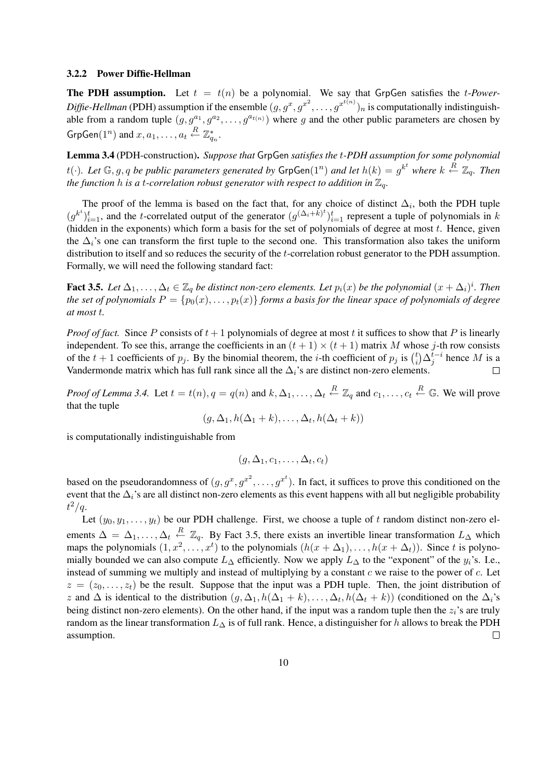#### 3.2.2 Power Diffie-Hellman

**The PDH assumption.** Let  $t = t(n)$  be a polynomial. We say that GrpGen satisfies the *t-Power-* $\textit{Diffe-Hellman}$  (PDH) assumption if the ensemble  $(g, g^x, g^{x^2}, \ldots, g^{x^{t(n)}})_n$  is computationally indistinguishable from a random tuple  $(g, g^{a_1}, g^{a_2}, \ldots, g^{a_{t(n)}})$  where g and the other public parameters are chosen by  $\mathsf{GrpGen}(1^n)$  and  $x, a_1, \ldots, a_t \stackrel{R}{\leftarrow} \mathbb{Z}_{q_n}^*.$ 

Lemma 3.4 (PDH-construction). *Suppose that* GrpGen *satisfies the* t*-PDH assumption for some polynomial* t( $\cdot$ ). Let  $\mathbb{G}, g, q$  be public parameters generated by  $\mathsf{GrpGen}(1^n)$  and let  $h(k) = g^{k^t}$  where  $k \stackrel{R}{\leftarrow} \mathbb{Z}_q$ . Then *the function* h *is a t-correlation robust generator with respect to addition in*  $\mathbb{Z}_q$ *.* 

The proof of the lemma is based on the fact that, for any choice of distinct  $\Delta_i$ , both the PDH tuple  $(g^{k^i})_{i=1}^t$ , and the t-correlated output of the generator  $(g^{(\Delta_i+k)t})_{i=1}^t$  represent a tuple of polynomials in k (hidden in the exponents) which form a basis for the set of polynomials of degree at most  $t$ . Hence, given the  $\Delta_i$ 's one can transform the first tuple to the second one. This transformation also takes the uniform distribution to itself and so reduces the security of the t-correlation robust generator to the PDH assumption. Formally, we will need the following standard fact:

Fact 3.5. Let  $\Delta_1,\ldots,\Delta_t\in\mathbb{Z}_q$  be distinct non-zero elements. Let  $p_i(x)$  be the polynomial  $(x+\Delta_i)^i$ . Then *the set of polynomials*  $P = \{p_0(x), \ldots, p_t(x)\}\$  *forms a basis for the linear space of polynomials of degree at most* t*.*

*Proof of fact.* Since P consists of  $t + 1$  polynomials of degree at most t it suffices to show that P is linearly independent. To see this, arrange the coefficients in an  $(t + 1) \times (t + 1)$  matrix M whose j-th row consists independent. To see this, arrange the coefficients in an  $(t + 1) \times (t + 1)$  matrix M whose of the  $t + 1$  coefficients of  $p_j$ . By the binomial theorem, the *i*-th coefficient of  $p_j$  is  $\binom{t}{i}$  $\int_i^t \Delta_j^{t-i}$  hence M is a Vandermonde matrix which has full rank since all the  $\Delta_i$ 's are distinct non-zero elements.  $\Box$ 

*Proof of Lemma 3.4.* Let  $t = t(n)$ ,  $q = q(n)$  and  $k, \Delta_1, \ldots, \Delta_t \stackrel{R}{\leftarrow} \mathbb{Z}_q$  and  $c_1, \ldots, c_t \stackrel{R}{\leftarrow} \mathbb{G}$ . We will prove that the tuple

$$
(g, \Delta_1, h(\Delta_1 + k), \ldots, \Delta_t, h(\Delta_t + k))
$$

is computationally indistinguishable from

$$
(g,\Delta_1,c_1,\ldots,\Delta_t,c_t)
$$

based on the pseudorandomness of  $(g, g^x, g^{x^2}, \dots, g^{x^t})$ . In fact, it suffices to prove this conditioned on the event that the  $\Delta_i$ 's are all distinct non-zero elements as this event happens with all but negligible probability  $t^2/q$ .

Let  $(y_0, y_1, \ldots, y_t)$  be our PDH challenge. First, we choose a tuple of t random distinct non-zero elements  $\Delta = \Delta_1, \ldots, \Delta_t \stackrel{R}{\leftarrow} \mathbb{Z}_q$ . By Fact 3.5, there exists an invertible linear transformation  $L_{\Delta}$  which maps the polynomials  $(1, x^2, ..., x^t)$  to the polynomials  $(h(x + \Delta_1), ..., h(x + \Delta_t))$ . Since t is polynomially bounded we can also compute  $L_{\Delta}$  efficiently. Now we apply  $L_{\Delta}$  to the "exponent" of the  $y_i$ 's. I.e., instead of summing we multiply and instead of multiplying by a constant  $c$  we raise to the power of  $c$ . Let  $z = (z_0, \ldots, z_t)$  be the result. Suppose that the input was a PDH tuple. Then, the joint distribution of z and  $\Delta$  is identical to the distribution  $(g, \Delta_1, h(\Delta_1 + k), \ldots, \Delta_t, h(\Delta_t + k))$  (conditioned on the  $\Delta_i$ 's being distinct non-zero elements). On the other hand, if the input was a random tuple then the  $z_i$ 's are truly random as the linear transformation  $L_{\Delta}$  is of full rank. Hence, a distinguisher for h allows to break the PDH assumption.  $\Box$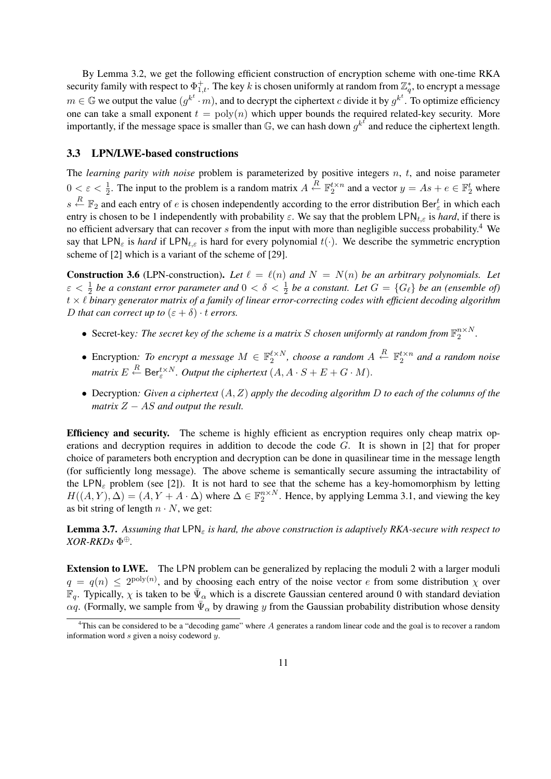By Lemma 3.2, we get the following efficient construction of encryption scheme with one-time RKA security family with respect to  $\Phi^+_{1,t}.$  The key  $k$  is chosen uniformly at random from  $\mathbb{Z}^*_q,$  to encrypt a message  $m \in \mathbb{G}$  we output the value  $(g^{k^t} \cdot m)$ , and to decrypt the ciphertext c divide it by  $g^{k^t}$ . To optimize efficiency one can take a small exponent  $t = \text{poly}(n)$  which upper bounds the required related-key security. More importantly, if the message space is smaller than  $\mathbb{G}$ , we can hash down  $g^{k^f}$  and reduce the ciphertext length.

#### 3.3 LPN/LWE-based constructions

The *learning parity with noise* problem is parameterized by positive integers n, t, and noise parameter  $0 < \varepsilon < \frac{1}{2}$ . The input to the problem is a random matrix  $A \stackrel{R}{\leftarrow} \mathbb{F}_2^{t \times n}$  and a vector  $y = As + e \in \mathbb{F}_2^t$  where  $s \stackrel{R}{\leftarrow} \mathbb{F}_2$  and each entry of e is chosen independently according to the error distribution Ber<sup>t</sup><sub>c</sub> in which each entry is chosen to be 1 independently with probability  $\varepsilon$ . We say that the problem LPN<sub>t, $\varepsilon$ </sub> is *hard*, if there is no efficient adversary that can recover  $s$  from the input with more than negligible success probability.<sup>4</sup> We say that LPN<sub>ε</sub> is *hard* if LPN<sub>tε</sub> is hard for every polynomial  $t(\cdot)$ . We describe the symmetric encryption scheme of [2] which is a variant of the scheme of [29].

**Construction 3.6** (LPN-construction). Let  $\ell = \ell(n)$  and  $N = N(n)$  be an arbitrary polynomials. Let  $\varepsilon < \frac{1}{2}$  be a constant error parameter and  $0 < \delta < \frac{1}{2}$  be a constant. Let  $G = \{G_\ell\}$  be an (ensemble of)  $t \times l$  binary generator matrix of a family of linear error-correcting codes with efficient decoding algorithm *D that can correct up to*  $(\varepsilon + \delta) \cdot t$  *errors.* 

- Secret-key: The secret key of the scheme is a matrix S chosen uniformly at random from  $\mathbb{F}_2^{n \times N}$ .
- Encryption: To encrypt a message  $M \in \mathbb{F}_2^{\ell \times N}$ , choose a random  $A \stackrel{R}{\leftarrow} \mathbb{F}_2^{\ell \times n}$  and a random noise *matrix*  $E \stackrel{R}{\leftarrow}$  Ber $_{\varepsilon}^{t \times N}$ . Output the ciphertext  $(A, A \cdot S + E + G \cdot M)$ .
- Decryption*: Given a ciphertext* (A, Z) *apply the decoding algorithm* D *to each of the columns of the matrix* Z − AS *and output the result.*

Efficiency and security. The scheme is highly efficient as encryption requires only cheap matrix operations and decryption requires in addition to decode the code G. It is shown in [2] that for proper choice of parameters both encryption and decryption can be done in quasilinear time in the message length (for sufficiently long message). The above scheme is semantically secure assuming the intractability of the LPN<sub>ε</sub> problem (see [2]). It is not hard to see that the scheme has a key-homomorphism by letting  $H((A, Y), \Delta) = (A, Y + A \cdot \Delta)$  where  $\Delta \in \mathbb{F}_2^{n \times N}$ . Hence, by applying Lemma 3.1, and viewing the key as bit string of length  $n \cdot N$ , we get:

**Lemma 3.7.** Assuming that  $\text{LPN}_\epsilon$  is hard, the above construction is adaptively RKA-secure with respect to *XOR-RKDs* Φ ⊕*.*

Extension to LWE. The LPN problem can be generalized by replacing the moduli 2 with a larger moduli  $q = q(n) \leq 2^{\text{poly}(n)}$ , and by choosing each entry of the noise vector e from some distribution  $\chi$  over  $\mathbb{F}_q$ . Typically,  $\chi$  is taken to be  $\bar{\Psi}_\alpha$  which is a discrete Gaussian centered around 0 with standard deviation  $\alpha q$ . (Formally, we sample from  $\bar{\Psi}_{\alpha}$  by drawing y from the Gaussian probability distribution whose density

<sup>&</sup>lt;sup>4</sup>This can be considered to be a "decoding game" where A generates a random linear code and the goal is to recover a random information word s given a noisy codeword y.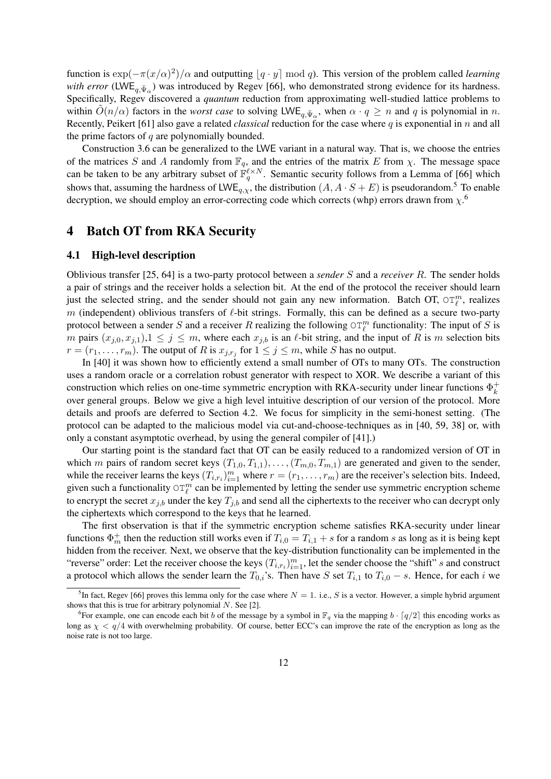function is  $\exp(-\pi(x/\alpha)^2)/\alpha$  and outputting  $[q \cdot y] \bmod q$ . This version of the problem called *learning with error* (LWE<sub>q, $\bar{\Psi}_{\alpha}$ ) was introduced by Regev [66], who demonstrated strong evidence for its hardness.</sub> Specifically, Regev discovered a *quantum* reduction from approximating well-studied lattice problems to within  $\tilde{O}(n/\alpha)$  factors in the *worst case* to solving LWE<sub>q,  $\bar{\Psi}_{\alpha}$ , when  $\alpha \cdot q \geq n$  and q is polynomial in n.</sub> Recently, Peikert [61] also gave a related *classical* reduction for the case where q is exponential in n and all the prime factors of  $q$  are polynomially bounded.

Construction 3.6 can be generalized to the LWE variant in a natural way. That is, we choose the entries of the matrices S and A randomly from  $\mathbb{F}_q$ , and the entries of the matrix E from  $\chi$ . The message space can be taken to be any arbitrary subset of  $\mathbb{F}_q^{\ell \times N}$ . Semantic security follows from a Lemma of [66] which shows that, assuming the hardness of LWE<sub>q, x</sub>, the distribution  $(A, A \cdot S + E)$  is pseudorandom.<sup>5</sup> To enable decryption, we should employ an error-correcting code which corrects (whp) errors drawn from  $\chi$ <sup>6</sup>.

### 4 Batch OT from RKA Security

#### 4.1 High-level description

Oblivious transfer [25, 64] is a two-party protocol between a *sender* S and a *receiver* R. The sender holds a pair of strings and the receiver holds a selection bit. At the end of the protocol the receiver should learn just the selected string, and the sender should not gain any new information. Batch OT,  $\circ T_{\ell}^{m}$ , realizes m (independent) oblivious transfers of  $\ell$ -bit strings. Formally, this can be defined as a secure two-party protocol between a sender S and a receiver R realizing the following  $\circ \mathbb{T}_{\ell}^m$  functionality: The input of S is m pairs  $(x_{i,0}, x_{i,1}), 1 \leq j \leq m$ , where each  $x_{i,b}$  is an  $\ell$ -bit string, and the input of R is m selection bits  $r = (r_1, \ldots, r_m)$ . The output of R is  $x_{j,r_j}$  for  $1 \le j \le m$ , while S has no output.

In [40] it was shown how to efficiently extend a small number of OTs to many OTs. The construction uses a random oracle or a correlation robust generator with respect to XOR. We describe a variant of this construction which relies on one-time symmetric encryption with RKA-security under linear functions  $\Phi_k^+$ k over general groups. Below we give a high level intuitive description of our version of the protocol. More details and proofs are deferred to Section 4.2. We focus for simplicity in the semi-honest setting. (The protocol can be adapted to the malicious model via cut-and-choose-techniques as in [40, 59, 38] or, with only a constant asymptotic overhead, by using the general compiler of [41].)

Our starting point is the standard fact that OT can be easily reduced to a randomized version of OT in which m pairs of random secret keys  $(T_{1,0}, T_{1,1}), \ldots, (T_{m,0}, T_{m,1})$  are generated and given to the sender, while the receiver learns the keys  $(T_{i,r_i})_{i=1}^m$  where  $r = (r_1, \ldots, r_m)$  are the receiver's selection bits. Indeed, given such a functionality  $\circ T_{\ell}^{m}$  can be implemented by letting the sender use symmetric encryption scheme to encrypt the secret  $x_{j,b}$  under the key  $T_{j,b}$  and send all the ciphertexts to the receiver who can decrypt only the ciphertexts which correspond to the keys that he learned.

The first observation is that if the symmetric encryption scheme satisfies RKA-security under linear functions  $\Phi_m^+$  then the reduction still works even if  $T_{i,0} = T_{i,1} + s$  for a random s as long as it is being kept hidden from the receiver. Next, we observe that the key-distribution functionality can be implemented in the "reverse" order: Let the receiver choose the keys  $(T_{i,r_i})_{i=1}^m$ , let the sender choose the "shift" s and construct a protocol which allows the sender learn the  $T_{0,i}$ 's. Then have S set  $T_{i,1}$  to  $T_{i,0} - s$ . Hence, for each i we

<sup>&</sup>lt;sup>5</sup>In fact, Regev [66] proves this lemma only for the case where  $N = 1$ . i.e., S is a vector. However, a simple hybrid argument shows that this is true for arbitrary polynomial  $N$ . See [2].

<sup>&</sup>lt;sup>6</sup>For example, one can encode each bit b of the message by a symbol in  $\mathbb{F}_q$  via the mapping  $b \cdot \lceil q/2 \rceil$  this encoding works as long as  $\chi < q/4$  with overwhelming probability. Of course, better ECC's can improve the rate of the encryption as long as the noise rate is not too large.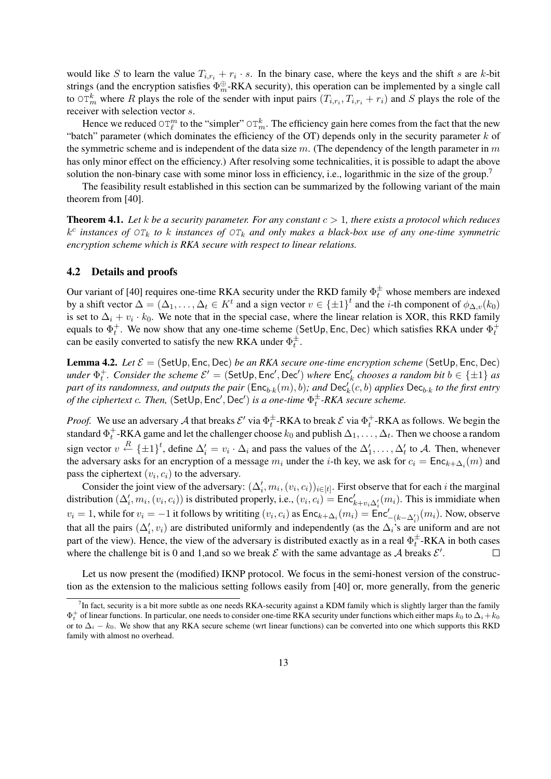would like S to learn the value  $T_{i,r_i} + r_i \cdot s$ . In the binary case, where the keys and the shift s are k-bit strings (and the encryption satisfies  $\Phi_m^{\oplus}$ -RKA security), this operation can be implemented by a single call to  $\circ$ T<sub>m</sub> where R plays the role of the sender with input pairs  $(T_{i,r_i}, T_{i,r_i} + r_i)$  and S plays the role of the receiver with selection vector s.

Hence we reduced  $\circ$   $\tau_{\ell}^{m}$  to the "simpler"  $\circ$   $\tau_{m}^{k}$ . The efficiency gain here comes from the fact that the new "batch" parameter (which dominates the efficiency of the OT) depends only in the security parameter  $k$  of the symmetric scheme and is independent of the data size  $m$ . (The dependency of the length parameter in  $m$ has only minor effect on the efficiency.) After resolving some technicalities, it is possible to adapt the above solution the non-binary case with some minor loss in efficiency, i.e., logarithmic in the size of the group.<sup>7</sup>

The feasibility result established in this section can be summarized by the following variant of the main theorem from [40].

**Theorem 4.1.** Let k be a security parameter. For any constant  $c > 1$ , there exists a protocol which reduces  $k^c$  *instances of*  $\overline{OT}_k$  *to*  $k$  *instances of*  $\overline{OT}_k$  *and only makes a black-box use of any one-time symmetric encryption scheme which is RKA secure with respect to linear relations.*

#### 4.2 Details and proofs

Our variant of [40] requires one-time RKA security under the RKD family  $\Phi_t^{\pm}$  whose members are indexed by a shift vector  $\Delta = (\Delta_1, \ldots, \Delta_t \in K^t$  and a sign vector  $v \in {\pm 1}^t$  and the *i*-th component of  $\phi_{\Delta,v}(k_0)$ is set to  $\Delta_i + v_i \cdot k_0$ . We note that in the special case, where the linear relation is XOR, this RKD family equals to  $\Phi_t^+$ . We now show that any one-time scheme (SetUp, Enc, Dec) which satisfies RKA under  $\Phi_t^+$ can be easily converted to satisfy the new RKA under  $\Phi_t^{\pm}$ .

**Lemma 4.2.** *Let*  $\mathcal{E} = (\mathsf{SetUp}, \mathsf{Enc}, \mathsf{Dec})$  *be an RKA secure one-time encryption scheme* (SetUp, Enc, Dec)  $u$ nder  $\Phi_t^+$ . Consider the scheme  $\mathcal{E}' =$  (SetUp, Enc', Dec') where  $\mathsf{Enc}'_k$  chooses a random bit  $b \in \{\pm 1\}$  as  $p$ art of its randomness, and outputs the pair  $(\sf{Enc}_{b \cdot k}(m), b)$ ; and  $\sf{Dec}'_k(c, b)$  applies  $\sf{Dec}_{b \cdot k}$  to the first entry *of the ciphertext c. Then,*  $(SetUp, Enc', Dec')$  *is a one-time*  $\Phi_t^{\pm}$ -RKA secure scheme.

*Proof.* We use an adversary A that breaks  $\mathcal{E}'$  via  $\Phi_t^{\pm}$ -RKA to break  $\mathcal{E}$  via  $\Phi_t^{\pm}$ -RKA as follows. We begin the standard  $\Phi_t^+$ -RKA game and let the challenger choose  $k_0$  and publish  $\Delta_1, \ldots, \Delta_t$ . Then we choose a random sign vector  $v \stackrel{R}{\leftarrow} {\{\pm 1\}}^t$ , define  $\Delta'_i = v_i \cdot \Delta_i$  and pass the values of the  $\Delta'_1, \ldots, \Delta'_t$  to A. Then, whenever the adversary asks for an encryption of a message  $m_i$  under the *i*-th key, we ask for  $c_i = \text{Enc}_{k+\Delta_i}(m)$  and pass the ciphertext  $(v_i, c_i)$  to the adversary.

Consider the joint view of the adversary:  $(\Delta'_i, m_i, (v_i, c_i))_{i \in [t]}$ . First observe that for each i the marginal distribution  $(\Delta'_i, m_i, (v_i, c_i))$  is distributed properly, i.e.,  $(v_i, c_i) = \text{Enc}'_{k+v_i\Delta'_i}(m_i)$ . This is immidiate when  $v_i = 1$ , while for  $v_i = -1$  it follows by writiting  $(v_i, c_i)$  as  $\mathsf{Enc}_{k+\Delta_i}(m_i) = \mathsf{Enc}'_{-(k-\Delta'_i)}(m_i)$ . Now, observe that all the pairs  $(\Delta'_i, v_i)$  are distributed uniformly and independently (as the  $\Delta_i$ 's are uniform and are not part of the view). Hence, the view of the adversary is distributed exactly as in a real  $\Phi_t^{\pm}$ -RKA in both cases where the challenge bit is 0 and 1, and so we break  $\mathcal E$  with the same advantage as  $\mathcal A$  breaks  $\mathcal E'$ .  $\Box$ 

Let us now present the (modified) IKNP protocol. We focus in the semi-honest version of the construction as the extension to the malicious setting follows easily from [40] or, more generally, from the generic

 ${}^{7}$ In fact, security is a bit more subtle as one needs RKA-security against a KDM family which is slightly larger than the family  $\Phi_t^+$  of linear functions. In particular, one needs to consider one-time RKA security under functions which either maps  $k_0$  to  $\Delta_i + k_0$ or to  $\Delta_i - k_0$ . We show that any RKA secure scheme (wrt linear functions) can be converted into one which supports this RKD family with almost no overhead.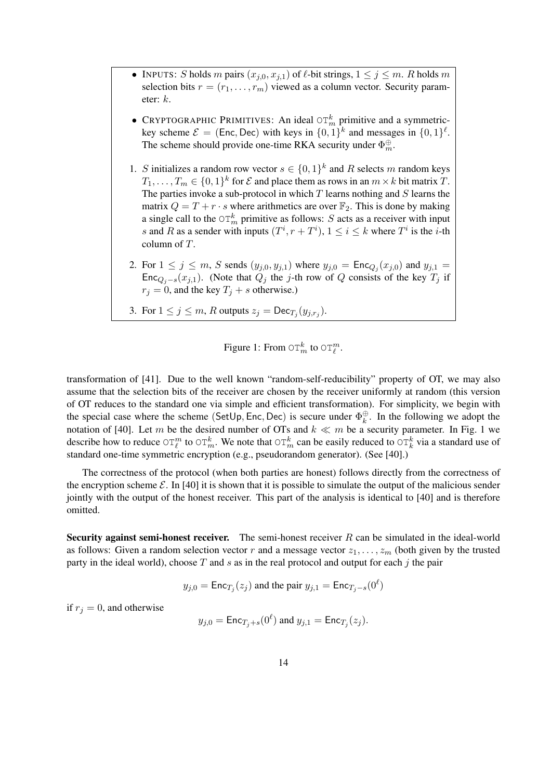- INPUTS: S holds m pairs  $(x_{j,0}, x_{j,1})$  of  $\ell$ -bit strings,  $1 \le j \le m$ . R holds m selection bits  $r = (r_1, \ldots, r_m)$  viewed as a column vector. Security parameter: k.
- CRYPTOGRAPHIC PRIMITIVES: An ideal  $\sigma \Gamma_m^k$  primitive and a symmetrickey scheme  $\mathcal{E} = (\text{Enc}, \text{Dec})$  with keys in  $\{0, 1\}^k$  and messages in  $\{0, 1\}^{\ell}$ . The scheme should provide one-time RKA security under  $\Phi_m^{\oplus}$ .
- 1. S initializes a random row vector  $s \in \{0,1\}^k$  and R selects m random keys  $T_1, \ldots, T_m \in \{0,1\}^k$  for  $\mathcal E$  and place them as rows in an  $m \times k$  bit matrix  $T$ . The parties invoke a sub-protocol in which  $T$  learns nothing and  $S$  learns the matrix  $Q = T + r \cdot s$  where arithmetics are over  $\mathbb{F}_2$ . This is done by making a single call to the  $\mathrm{OT}_m^k$  primitive as follows: S acts as a receiver with input s and R as a sender with inputs  $(T^i, r + T^i)$ ,  $1 \le i \le k$  where  $T^i$  is the *i*-th column of T.
- 2. For  $1 \le j \le m$ , S sends  $(y_{j,0}, y_{j,1})$  where  $y_{j,0} = \text{Enc}_{Q_j}(x_{j,0})$  and  $y_{j,1} =$ Enc<sub>Qj−s</sub>(x<sub>j,1</sub>). (Note that  $Q_j$  the j-th row of Q consists of the key  $T_j$  if  $r_j = 0$ , and the key  $T_j + s$  otherwise.)
- 3. For  $1 \leq j \leq m$ , R outputs  $z_j = \text{Dec}_{T_j}(y_{j,r_j})$ .

Figure 1: From 
$$
\mathop{\mathrm{OT}}\nolimits_m^k
$$
 to  $\mathop{\mathrm{OT}}\nolimits_\ell^m$ .

transformation of [41]. Due to the well known "random-self-reducibility" property of OT, we may also assume that the selection bits of the receiver are chosen by the receiver uniformly at random (this version of OT reduces to the standard one via simple and efficient transformation). For simplicity, we begin with the special case where the scheme (SetUp, Enc, Dec) is secure under  $\Phi_{\mu}^{\oplus}$  $\frac{\oplus}{k}$ . In the following we adopt the notation of [40]. Let m be the desired number of OTs and  $k \ll m$  be a security parameter. In Fig. 1 we describe how to reduce  $\circ$   $\tau_{\ell}^m$  to  $\circ$   $\tau_m^k$ . We note that  $\circ$   $\tau_m^k$  can be easily reduced to  $\circ$   $\tau_k^k$  via a standard use of standard one-time symmetric encryption (e.g., pseudorandom generator). (See [40].)

The correctness of the protocol (when both parties are honest) follows directly from the correctness of the encryption scheme  $\mathcal{E}$ . In [40] it is shown that it is possible to simulate the output of the malicious sender jointly with the output of the honest receiver. This part of the analysis is identical to [40] and is therefore omitted.

Security against semi-honest receiver. The semi-honest receiver  $R$  can be simulated in the ideal-world as follows: Given a random selection vector r and a message vector  $z_1, \ldots, z_m$  (both given by the trusted party in the ideal world), choose  $T$  and  $s$  as in the real protocol and output for each  $j$  the pair

$$
y_{j,0} = \text{Enc}_{T_j}(z_j)
$$
 and the pair  $y_{j,1} = \text{Enc}_{T_j-s}(0^{\ell})$ 

if  $r_j = 0$ , and otherwise

$$
y_{j,0} = \text{Enc}_{T_j+s}(0^{\ell})
$$
 and  $y_{j,1} = \text{Enc}_{T_j}(z_j)$ .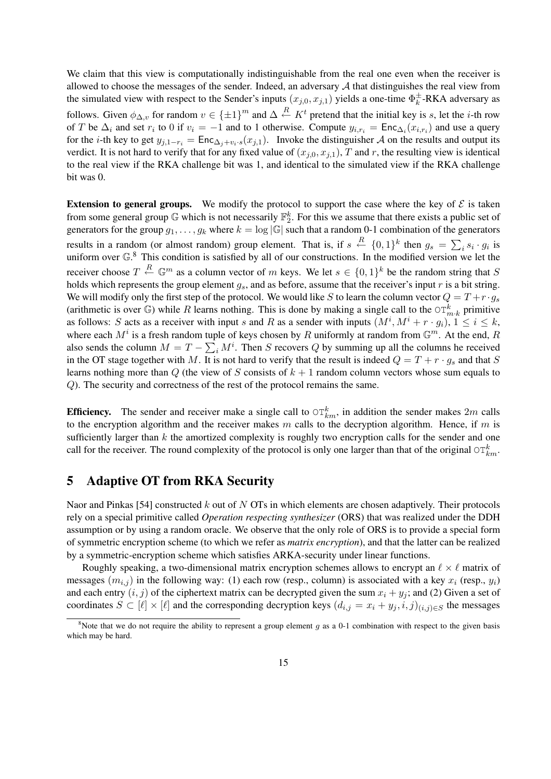We claim that this view is computationally indistinguishable from the real one even when the receiver is allowed to choose the messages of the sender. Indeed, an adversary  $A$  that distinguishes the real view from the simulated view with respect to the Sender's inputs  $(x_{j,0}, x_{j,1})$  yields a one-time  $\Phi_k^{\pm}$  $\frac{1}{k}$ -RKA adversary as follows. Given  $\phi_{\Delta,v}$  for random  $v \in \{\pm 1\}^m$  and  $\Delta \stackrel{R}{\leftarrow} K^t$  pretend that the initial key is s, let the *i*-th row of T be  $\Delta_i$  and set  $r_i$  to 0 if  $v_i = -1$  and to 1 otherwise. Compute  $y_{i,r_i} = \text{Enc}_{\Delta_i}(x_{i,r_i})$  and use a query for the *i*-th key to get  $y_{j,1-r_i} = \text{Enc}_{\Delta_i+v_i \cdot s}(x_{j,1})$ . Invoke the distinguisher A on the results and output its verdict. It is not hard to verify that for any fixed value of  $(x_{i,0}, x_{i,1})$ , T and r, the resulting view is identical to the real view if the RKA challenge bit was 1, and identical to the simulated view if the RKA challenge bit was 0.

**Extension to general groups.** We modify the protocol to support the case where the key of  $\mathcal{E}$  is taken from some general group  $\mathbb G$  which is not necessarily  $\mathbb F_2^k$ . For this we assume that there exists a public set of generators for the group  $g_1, \ldots, g_k$  where  $k = \log |\mathbb{G}|$  such that a random 0-1 combination of the generators results in a random (or almost random) group element. That is, if  $s \stackrel{R}{\leftarrow} \{0,1\}^k$  then  $g_s =$  $\frac{1}{\sqrt{2}}$  $is_i \cdot g_i$  is uniform over  $\mathbb{G}^8$ . This condition is satisfied by all of our constructions. In the modified version we let the receiver choose  $T \stackrel{R}{\leftarrow} \mathbb{G}^m$  as a column vector of m keys. We let  $s \in \{0,1\}^k$  be the random string that S holds which represents the group element  $g_s$ , and as before, assume that the receiver's input r is a bit string. We will modify only the first step of the protocol. We would like S to learn the column vector  $Q = T + r \cdot g_s$ (arithmetic is over G) while R learns nothing. This is done by making a single call to the  $\mathrm{OT}_{m,k}^k$  primitive as follows: S acts as a receiver with input s and R as a sender with inputs  $(M^i, M^i + r \cdot g_i)$ ,  $1 \le i \le k$ , where each  $M^i$  is a fresh random tuple of keys chosen by R uniformly at random from  $\mathbb{G}^m$ . At the end, R also sends the column  $M = T$ tuple of keys chosen by A unfforming at random from  $\mathfrak{F}$ . At the end, A  $\sum_i M^i$ . Then S recovers Q by summing up all the columns he received in the OT stage together with M. It is not hard to verify that the result is indeed  $Q = T + r \cdot g_s$  and that S learns nothing more than  $Q$  (the view of S consists of  $k + 1$  random column vectors whose sum equals to Q). The security and correctness of the rest of the protocol remains the same.

**Efficiency.** The sender and receiver make a single call to  $\circlearrowleft_{km}^k$ , in addition the sender makes  $2m$  calls to the encryption algorithm and the receiver makes m calls to the decryption algorithm. Hence, if m is sufficiently larger than  $k$  the amortized complexity is roughly two encryption calls for the sender and one call for the receiver. The round complexity of the protocol is only one larger than that of the original  $\circ$ T $_{km}^k$ .

# 5 Adaptive OT from RKA Security

Naor and Pinkas [54] constructed k out of N OTs in which elements are chosen adaptively. Their protocols rely on a special primitive called *Operation respecting synthesizer* (ORS) that was realized under the DDH assumption or by using a random oracle. We observe that the only role of ORS is to provide a special form of symmetric encryption scheme (to which we refer as *matrix encryption*), and that the latter can be realized by a symmetric-encryption scheme which satisfies ARKA-security under linear functions.

Roughly speaking, a two-dimensional matrix encryption schemes allows to encrypt an  $\ell \times \ell$  matrix of messages  $(m_{i,j})$  in the following way: (1) each row (resp., column) is associated with a key  $x_i$  (resp.,  $y_i$ ) and each entry  $(i, j)$  of the ciphertext matrix can be decrypted given the sum  $x_i + y_j$ ; and (2) Given a set of coordinates  $S \subset [\ell] \times [\ell]$  and the corresponding decryption keys  $(d_{i,j} = x_i + y_j, i, j)_{(i,j) \in S}$  the messages

<sup>&</sup>lt;sup>8</sup>Note that we do not require the ability to represent a group element q as a 0-1 combination with respect to the given basis which may be hard.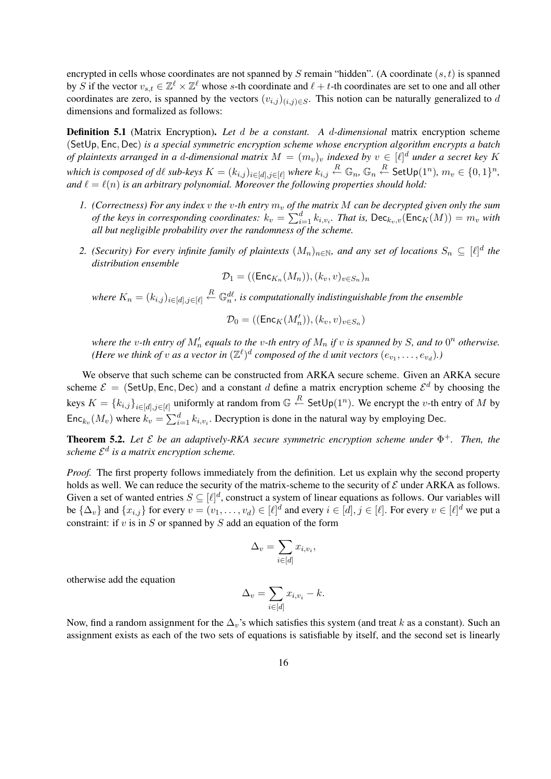encrypted in cells whose coordinates are not spanned by S remain "hidden". (A coordinate  $(s, t)$  is spanned by S if the vector  $v_{s,t} \in \mathbb{Z}^\ell \times \mathbb{Z}^\ell$  whose s-th coordinate and  $\ell+t$ -th coordinates are set to one and all other coordinates are zero, is spanned by the vectors  $(v_{i,j})_{(i,j)\in S}$ . This notion can be naturally generalized to d dimensions and formalized as follows:

Definition 5.1 (Matrix Encryption). *Let* d *be a constant. A* d*-dimensional* matrix encryption scheme (SetUp, Enc, Dec) *is a special symmetric encryption scheme whose encryption algorithm encrypts a batch of plaintexts arranged in a d-dimensional matrix*  $M = (m_v)_v$  *indexed by*  $v \in [\ell]^d$  *under a secret key* K  $\hat{f}_n$  which is composed of  $d\ell$  sub-keys  $K = (k_{i,j})_{i \in [d], j \in [\ell]}$  where  $k_{i,j} \stackrel{R}{\leftarrow} \mathbb{G}_n, \mathbb{G}_n \stackrel{R}{\leftarrow} \mathsf{SetUp}(1^n), \, m_v \in \{0,1\}^n,$ and  $\ell = \ell(n)$  *is an arbitrary polynomial. Moreover the following properties should hold:* 

- *1.* (Correctness) For any index v the v-th entry  $m_v$  of the matrix M can be decrypted given only the sum (Correctness) for any maex  $\sigma$  the  $\sigma$ -th entry  $m_v$  of the keys in corresponding coordinates:  $k_v = \sum_{i=1}^{d}$  $_{i=1}^d k_{i,v_i}$ . That is,  $\mathsf{Dec}_{k_v,v}(\mathsf{Enc}_K(M)) = m_v$  with *all but negligible probability over the randomness of the scheme.*
- 2. *(Security) For every infinite family of plaintexts*  $(M_n)_{n\in\mathbb{N}}$ , and any set of locations  $S_n \subseteq [\ell]^d$  the *distribution ensemble*

$$
\mathcal{D}_1=((\mathsf{Enc}_{K_n}(M_n)),(k_v,v)_{v\in S_n})_n
$$

where  $K_n = (k_{i,j})_{i \in [d], j \in [\ell]} \stackrel{R}{\leftarrow} \mathbb{G}_n^{d\ell}$ , is computationally indistinguishable from the ensemble

$$
\mathcal{D}_0=((\mathsf{Enc}_K(M'_n)),(k_v,v)_{v\in S_n})
$$

*where the v-th entry of*  $M'_n$  *equals to the v-th entry of*  $M_n$  *if v is spanned by S*, *and to*  $0^n$  *otherwise. (Here we think of v as a vector in*  $(\mathbb{Z}^{\ell})^d$  *composed of the*  $d$  *unit vectors*  $(e_{v_1}, \ldots, e_{v_d})$ .)

We observe that such scheme can be constructed from ARKA secure scheme. Given an ARKA secure scheme  $\mathcal{E} =$  (SetUp, Enc, Dec) and a constant d define a matrix encryption scheme  $\mathcal{E}^d$  by choosing the keys  $K = \{k_{i,j}\}_{i \in [d], j \in [\ell]}$  uniformly at random from  $\mathbb{G} \stackrel{R}{\leftarrow}$  SetUp $(1^n)$ . We encrypt the *v*-th entry of M by Enc<sub>kv</sub> $(M_v)$  where  $k_v = \sum_{i=1}^{d}$  $\sum_{i=1}^{d} k_{i,v_i}$ . Decryption is done in the natural way by employing Dec.

**Theorem 5.2.** Let  $\mathcal{E}$  be an adaptively-RKA secure symmetric encryption scheme under  $\Phi^+$ . Then, the *scheme* E d *is a matrix encryption scheme.*

*Proof.* The first property follows immediately from the definition. Let us explain why the second property holds as well. We can reduce the security of the matrix-scheme to the security of  $\mathcal E$  under ARKA as follows. Given a set of wanted entries  $S \subseteq [\ell]^d$ , construct a system of linear equations as follows. Our variables will be  $\{\Delta_v\}$  and  $\{x_{i,j}\}$  for every  $v = (v_1, \ldots, v_d) \in [\ell]^d$  and every  $i \in [d], j \in [\ell]$ . For every  $v \in [\ell]^d$  we put a constraint: if  $v$  is in  $S$  or spanned by  $S$  add an equation of the form

$$
\Delta_v = \sum_{i \in [d]} x_{i,v_i},
$$

otherwise add the equation

$$
\Delta_v = \sum_{i \in [d]} x_{i, v_i} - k.
$$

Now, find a random assignment for the  $\Delta_v$ 's which satisfies this system (and treat k as a constant). Such an assignment exists as each of the two sets of equations is satisfiable by itself, and the second set is linearly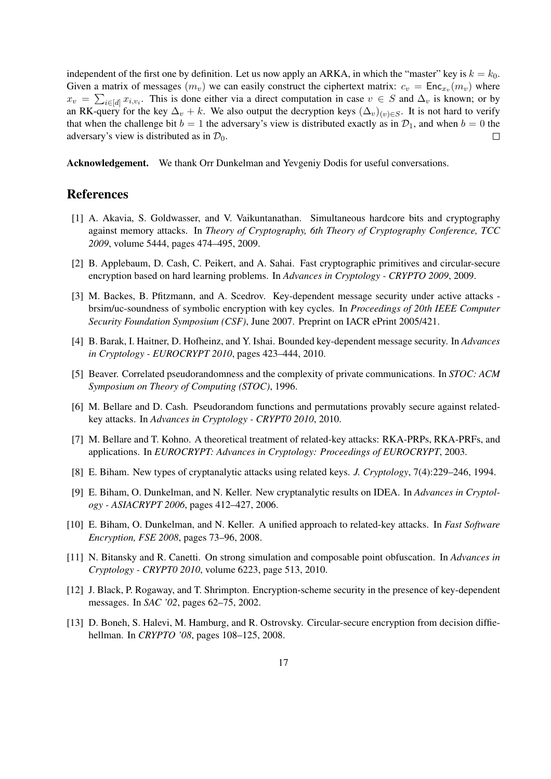independent of the first one by definition. Let us now apply an ARKA, in which the "master" key is  $k = k_0$ . Given a matrix of messages  $(m_v)$  we can easily construct the ciphertext matrix:  $c_v = \text{Enc}_{x_v}(m_v)$  where  $x_v = \sum_{i \in [d]} x_{i,v_i}$ . This is done either via a direct computation in case  $v \in S$  and  $\Delta_v$  is known; or by an RK-query for the key  $\Delta_v + k$ . We also output the decryption keys  $(\Delta_v)_{(v) \in S}$ . It is not hard to verify that when the challenge bit  $b = 1$  the adversary's view is distributed exactly as in  $\mathcal{D}_1$ , and when  $b = 0$  the adversary's view is distributed as in  $\mathcal{D}_0$ .  $\Box$ 

Acknowledgement. We thank Orr Dunkelman and Yevgeniy Dodis for useful conversations.

### References

- [1] A. Akavia, S. Goldwasser, and V. Vaikuntanathan. Simultaneous hardcore bits and cryptography against memory attacks. In *Theory of Cryptography, 6th Theory of Cryptography Conference, TCC 2009*, volume 5444, pages 474–495, 2009.
- [2] B. Applebaum, D. Cash, C. Peikert, and A. Sahai. Fast cryptographic primitives and circular-secure encryption based on hard learning problems. In *Advances in Cryptology - CRYPTO 2009*, 2009.
- [3] M. Backes, B. Pfitzmann, and A. Scedrov. Key-dependent message security under active attacks brsim/uc-soundness of symbolic encryption with key cycles. In *Proceedings of 20th IEEE Computer Security Foundation Symposium (CSF)*, June 2007. Preprint on IACR ePrint 2005/421.
- [4] B. Barak, I. Haitner, D. Hofheinz, and Y. Ishai. Bounded key-dependent message security. In *Advances in Cryptology - EUROCRYPT 2010*, pages 423–444, 2010.
- [5] Beaver. Correlated pseudorandomness and the complexity of private communications. In *STOC: ACM Symposium on Theory of Computing (STOC)*, 1996.
- [6] M. Bellare and D. Cash. Pseudorandom functions and permutations provably secure against relatedkey attacks. In *Advances in Cryptology - CRYPT0 2010*, 2010.
- [7] M. Bellare and T. Kohno. A theoretical treatment of related-key attacks: RKA-PRPs, RKA-PRFs, and applications. In *EUROCRYPT: Advances in Cryptology: Proceedings of EUROCRYPT*, 2003.
- [8] E. Biham. New types of cryptanalytic attacks using related keys. *J. Cryptology*, 7(4):229–246, 1994.
- [9] E. Biham, O. Dunkelman, and N. Keller. New cryptanalytic results on IDEA. In *Advances in Cryptology - ASIACRYPT 2006*, pages 412–427, 2006.
- [10] E. Biham, O. Dunkelman, and N. Keller. A unified approach to related-key attacks. In *Fast Software Encryption, FSE 2008*, pages 73–96, 2008.
- [11] N. Bitansky and R. Canetti. On strong simulation and composable point obfuscation. In *Advances in Cryptology - CRYPT0 2010*, volume 6223, page 513, 2010.
- [12] J. Black, P. Rogaway, and T. Shrimpton. Encryption-scheme security in the presence of key-dependent messages. In *SAC '02*, pages 62–75, 2002.
- [13] D. Boneh, S. Halevi, M. Hamburg, and R. Ostrovsky. Circular-secure encryption from decision diffiehellman. In *CRYPTO '08*, pages 108–125, 2008.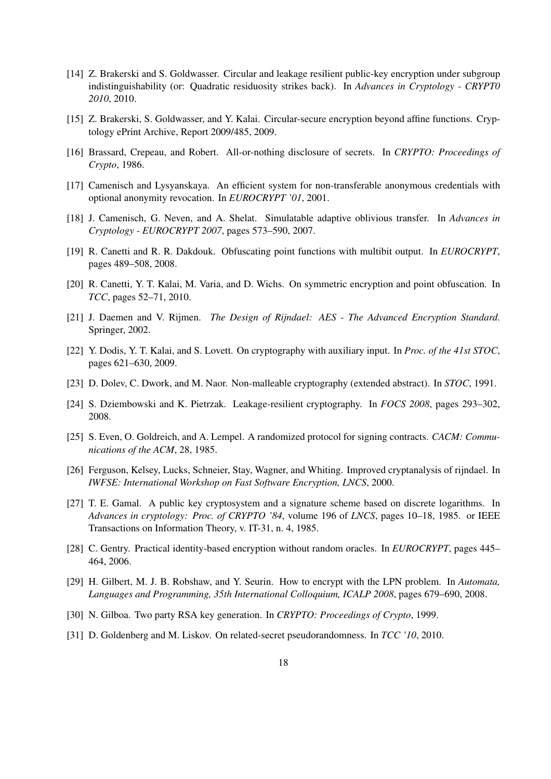- [14] Z. Brakerski and S. Goldwasser. Circular and leakage resilient public-key encryption under subgroup indistinguishability (or: Quadratic residuosity strikes back). In *Advances in Cryptology - CRYPT0 2010*, 2010.
- [15] Z. Brakerski, S. Goldwasser, and Y. Kalai. Circular-secure encryption beyond affine functions. Cryptology ePrint Archive, Report 2009/485, 2009.
- [16] Brassard, Crepeau, and Robert. All-or-nothing disclosure of secrets. In *CRYPTO: Proceedings of Crypto*, 1986.
- [17] Camenisch and Lysyanskaya. An efficient system for non-transferable anonymous credentials with optional anonymity revocation. In *EUROCRYPT '01*, 2001.
- [18] J. Camenisch, G. Neven, and A. Shelat. Simulatable adaptive oblivious transfer. In *Advances in Cryptology - EUROCRYPT 2007*, pages 573–590, 2007.
- [19] R. Canetti and R. R. Dakdouk. Obfuscating point functions with multibit output. In *EUROCRYPT*, pages 489–508, 2008.
- [20] R. Canetti, Y. T. Kalai, M. Varia, and D. Wichs. On symmetric encryption and point obfuscation. In *TCC*, pages 52–71, 2010.
- [21] J. Daemen and V. Rijmen. *The Design of Rijndael: AES The Advanced Encryption Standard*. Springer, 2002.
- [22] Y. Dodis, Y. T. Kalai, and S. Lovett. On cryptography with auxiliary input. In *Proc. of the 41st STOC*, pages 621–630, 2009.
- [23] D. Dolev, C. Dwork, and M. Naor. Non-malleable cryptography (extended abstract). In *STOC*, 1991.
- [24] S. Dziembowski and K. Pietrzak. Leakage-resilient cryptography. In *FOCS 2008*, pages 293–302, 2008.
- [25] S. Even, O. Goldreich, and A. Lempel. A randomized protocol for signing contracts. *CACM: Communications of the ACM*, 28, 1985.
- [26] Ferguson, Kelsey, Lucks, Schneier, Stay, Wagner, and Whiting. Improved cryptanalysis of rijndael. In *IWFSE: International Workshop on Fast Software Encryption, LNCS*, 2000.
- [27] T. E. Gamal. A public key cryptosystem and a signature scheme based on discrete logarithms. In *Advances in cryptology: Proc. of CRYPTO '84*, volume 196 of *LNCS*, pages 10–18, 1985. or IEEE Transactions on Information Theory, v. IT-31, n. 4, 1985.
- [28] C. Gentry. Practical identity-based encryption without random oracles. In *EUROCRYPT*, pages 445– 464, 2006.
- [29] H. Gilbert, M. J. B. Robshaw, and Y. Seurin. How to encrypt with the LPN problem. In *Automata, Languages and Programming, 35th International Colloquium, ICALP 2008*, pages 679–690, 2008.
- [30] N. Gilboa. Two party RSA key generation. In *CRYPTO: Proceedings of Crypto*, 1999.
- [31] D. Goldenberg and M. Liskov. On related-secret pseudorandomness. In *TCC '10*, 2010.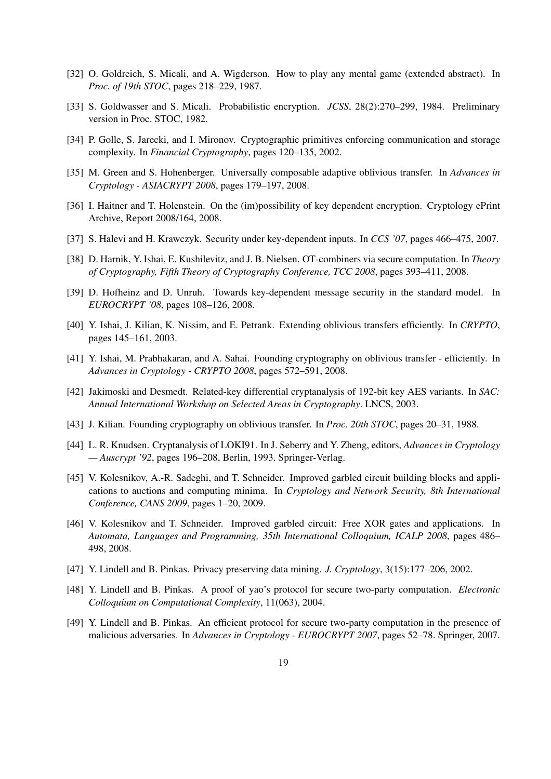- [32] O. Goldreich, S. Micali, and A. Wigderson. How to play any mental game (extended abstract). In *Proc. of 19th STOC*, pages 218–229, 1987.
- [33] S. Goldwasser and S. Micali. Probabilistic encryption. *JCSS*, 28(2):270–299, 1984. Preliminary version in Proc. STOC, 1982.
- [34] P. Golle, S. Jarecki, and I. Mironov. Cryptographic primitives enforcing communication and storage complexity. In *Financial Cryptography*, pages 120–135, 2002.
- [35] M. Green and S. Hohenberger. Universally composable adaptive oblivious transfer. In *Advances in Cryptology - ASIACRYPT 2008*, pages 179–197, 2008.
- [36] I. Haitner and T. Holenstein. On the (im)possibility of key dependent encryption. Cryptology ePrint Archive, Report 2008/164, 2008.
- [37] S. Halevi and H. Krawczyk. Security under key-dependent inputs. In *CCS '07*, pages 466–475, 2007.
- [38] D. Harnik, Y. Ishai, E. Kushilevitz, and J. B. Nielsen. OT-combiners via secure computation. In *Theory of Cryptography, Fifth Theory of Cryptography Conference, TCC 2008*, pages 393–411, 2008.
- [39] D. Hofheinz and D. Unruh. Towards key-dependent message security in the standard model. In *EUROCRYPT '08*, pages 108–126, 2008.
- [40] Y. Ishai, J. Kilian, K. Nissim, and E. Petrank. Extending oblivious transfers efficiently. In *CRYPTO*, pages 145–161, 2003.
- [41] Y. Ishai, M. Prabhakaran, and A. Sahai. Founding cryptography on oblivious transfer efficiently. In *Advances in Cryptology - CRYPTO 2008*, pages 572–591, 2008.
- [42] Jakimoski and Desmedt. Related-key differential cryptanalysis of 192-bit key AES variants. In *SAC: Annual International Workshop on Selected Areas in Cryptography*. LNCS, 2003.
- [43] J. Kilian. Founding cryptography on oblivious transfer. In *Proc. 20th STOC*, pages 20–31, 1988.
- [44] L. R. Knudsen. Cryptanalysis of LOKI91. In J. Seberry and Y. Zheng, editors, *Advances in Cryptology — Auscrypt '92*, pages 196–208, Berlin, 1993. Springer-Verlag.
- [45] V. Kolesnikov, A.-R. Sadeghi, and T. Schneider. Improved garbled circuit building blocks and applications to auctions and computing minima. In *Cryptology and Network Security, 8th International Conference, CANS 2009*, pages 1–20, 2009.
- [46] V. Kolesnikov and T. Schneider. Improved garbled circuit: Free XOR gates and applications. In *Automata, Languages and Programming, 35th International Colloquium, ICALP 2008*, pages 486– 498, 2008.
- [47] Y. Lindell and B. Pinkas. Privacy preserving data mining. *J. Cryptology*, 3(15):177–206, 2002.
- [48] Y. Lindell and B. Pinkas. A proof of yao's protocol for secure two-party computation. *Electronic Colloquium on Computational Complexity*, 11(063), 2004.
- [49] Y. Lindell and B. Pinkas. An efficient protocol for secure two-party computation in the presence of malicious adversaries. In *Advances in Cryptology - EUROCRYPT 2007*, pages 52–78. Springer, 2007.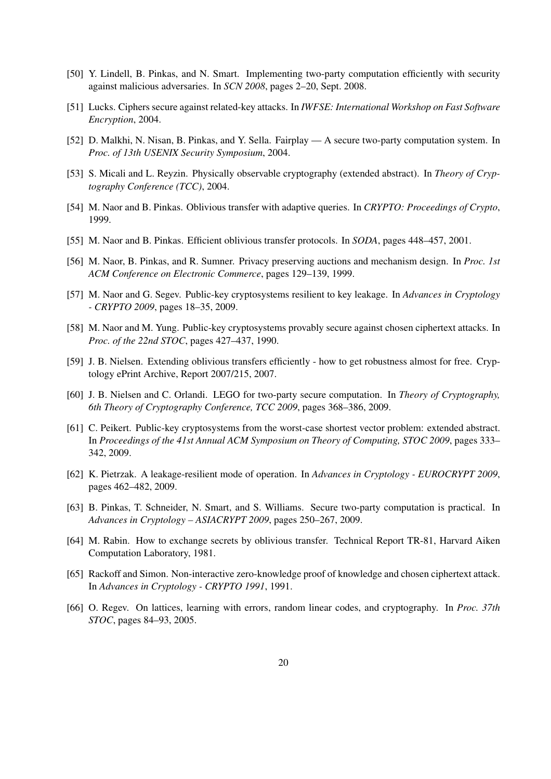- [50] Y. Lindell, B. Pinkas, and N. Smart. Implementing two-party computation efficiently with security against malicious adversaries. In *SCN 2008*, pages 2–20, Sept. 2008.
- [51] Lucks. Ciphers secure against related-key attacks. In *IWFSE: International Workshop on Fast Software Encryption*, 2004.
- [52] D. Malkhi, N. Nisan, B. Pinkas, and Y. Sella. Fairplay A secure two-party computation system. In *Proc. of 13th USENIX Security Symposium*, 2004.
- [53] S. Micali and L. Reyzin. Physically observable cryptography (extended abstract). In *Theory of Cryptography Conference (TCC)*, 2004.
- [54] M. Naor and B. Pinkas. Oblivious transfer with adaptive queries. In *CRYPTO: Proceedings of Crypto*, 1999.
- [55] M. Naor and B. Pinkas. Efficient oblivious transfer protocols. In *SODA*, pages 448–457, 2001.
- [56] M. Naor, B. Pinkas, and R. Sumner. Privacy preserving auctions and mechanism design. In *Proc. 1st ACM Conference on Electronic Commerce*, pages 129–139, 1999.
- [57] M. Naor and G. Segev. Public-key cryptosystems resilient to key leakage. In *Advances in Cryptology - CRYPTO 2009*, pages 18–35, 2009.
- [58] M. Naor and M. Yung. Public-key cryptosystems provably secure against chosen ciphertext attacks. In *Proc. of the 22nd STOC*, pages 427–437, 1990.
- [59] J. B. Nielsen. Extending oblivious transfers efficiently how to get robustness almost for free. Cryptology ePrint Archive, Report 2007/215, 2007.
- [60] J. B. Nielsen and C. Orlandi. LEGO for two-party secure computation. In *Theory of Cryptography, 6th Theory of Cryptography Conference, TCC 2009*, pages 368–386, 2009.
- [61] C. Peikert. Public-key cryptosystems from the worst-case shortest vector problem: extended abstract. In *Proceedings of the 41st Annual ACM Symposium on Theory of Computing, STOC 2009*, pages 333– 342, 2009.
- [62] K. Pietrzak. A leakage-resilient mode of operation. In *Advances in Cryptology EUROCRYPT 2009*, pages 462–482, 2009.
- [63] B. Pinkas, T. Schneider, N. Smart, and S. Williams. Secure two-party computation is practical. In *Advances in Cryptology – ASIACRYPT 2009*, pages 250–267, 2009.
- [64] M. Rabin. How to exchange secrets by oblivious transfer. Technical Report TR-81, Harvard Aiken Computation Laboratory, 1981.
- [65] Rackoff and Simon. Non-interactive zero-knowledge proof of knowledge and chosen ciphertext attack. In *Advances in Cryptology - CRYPTO 1991*, 1991.
- [66] O. Regev. On lattices, learning with errors, random linear codes, and cryptography. In *Proc. 37th STOC*, pages 84–93, 2005.